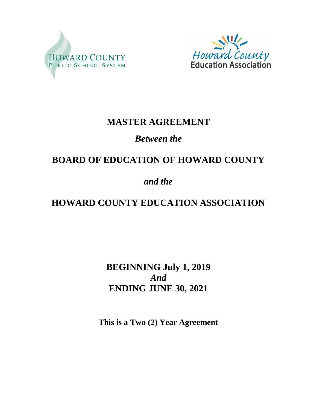



## **MASTER AGREEMENT**

## *Between the*

# **BOARD OF EDUCATION OF HOWARD COUNTY**

## *and the*

# **HOWARD COUNTY EDUCATION ASSOCIATION**

**BEGINNING July 1, 2019** *And* **ENDING JUNE 30, 2021**

**This is a Two (2) Year Agreement**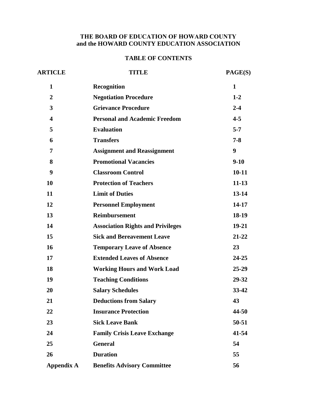#### **THE BOARD OF EDUCATION OF HOWARD COUNTY and the HOWARD COUNTY EDUCATION ASSOCIATION**

#### **TABLE OF CONTENTS**

| <b>ARTICLE</b>          | <b>TITLE</b>                             | PAGE(S)      |
|-------------------------|------------------------------------------|--------------|
| $\mathbf{1}$            | <b>Recognition</b>                       | $\mathbf{1}$ |
| $\boldsymbol{2}$        | <b>Negotiation Procedure</b>             | $1 - 2$      |
| 3                       | <b>Grievance Procedure</b>               | $2 - 4$      |
| $\overline{\mathbf{4}}$ | <b>Personal and Academic Freedom</b>     | $4 - 5$      |
| 5                       | <b>Evaluation</b>                        | $5 - 7$      |
| 6                       | <b>Transfers</b>                         | $7 - 8$      |
| 7                       | <b>Assignment and Reassignment</b>       | 9            |
| 8                       | <b>Promotional Vacancies</b>             | $9-10$       |
| 9                       | <b>Classroom Control</b>                 | $10 - 11$    |
| 10                      | <b>Protection of Teachers</b>            | $11 - 13$    |
| 11                      | <b>Limit of Duties</b>                   | $13 - 14$    |
| 12                      | <b>Personnel Employment</b>              | 14-17        |
| 13                      | <b>Reimbursement</b>                     | 18-19        |
| 14                      | <b>Association Rights and Privileges</b> | 19-21        |
| 15                      | <b>Sick and Bereavement Leave</b>        | $21 - 22$    |
| 16                      | <b>Temporary Leave of Absence</b>        | 23           |
| 17                      | <b>Extended Leaves of Absence</b>        | 24-25        |
| 18                      | <b>Working Hours and Work Load</b>       | $25 - 29$    |
| 19                      | <b>Teaching Conditions</b>               | 29-32        |
| 20                      | <b>Salary Schedules</b>                  | $33 - 42$    |
| 21                      | <b>Deductions from Salary</b>            | 43           |
| 22                      | <b>Insurance Protection</b>              | 44-50        |
| 23                      | <b>Sick Leave Bank</b>                   | 50-51        |
| 24                      | <b>Family Crisis Leave Exchange</b>      | 41-54        |
| 25                      | <b>General</b>                           | 54           |
| 26                      | <b>Duration</b>                          | 55           |
| <b>Appendix A</b>       | <b>Benefits Advisory Committee</b>       | 56           |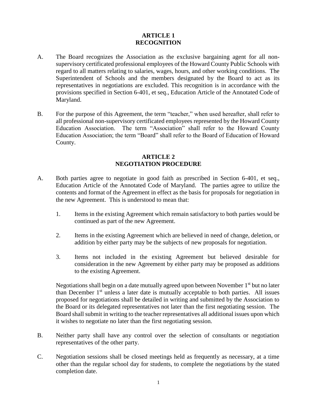#### **ARTICLE 1 RECOGNITION**

- A. The Board recognizes the Association as the exclusive bargaining agent for all nonsupervisory certificated professional employees of the Howard County Public Schools with regard to all matters relating to salaries, wages, hours, and other working conditions. The Superintendent of Schools and the members designated by the Board to act as its representatives in negotiations are excluded. This recognition is in accordance with the provisions specified in Section 6-401, et seq., Education Article of the Annotated Code of Maryland.
- B. For the purpose of this Agreement, the term "teacher," when used hereafter, shall refer to all professional non-supervisory certificated employees represented by the Howard County Education Association. The term "Association" shall refer to the Howard County Education Association; the term "Board" shall refer to the Board of Education of Howard County.

#### **ARTICLE 2 NEGOTIATION PROCEDURE**

- A. Both parties agree to negotiate in good faith as prescribed in Section 6-401, et seq., Education Article of the Annotated Code of Maryland. The parties agree to utilize the contents and format of the Agreement in effect as the basis for proposals for negotiation in the new Agreement. This is understood to mean that:
	- 1. Items in the existing Agreement which remain satisfactory to both parties would be continued as part of the new Agreement.
	- 2. Items in the existing Agreement which are believed in need of change, deletion, or addition by either party may be the subjects of new proposals for negotiation.
	- 3. Items not included in the existing Agreement but believed desirable for consideration in the new Agreement by either party may be proposed as additions to the existing Agreement.

Negotiations shall begin on a date mutually agreed upon between November  $1<sup>st</sup>$  but no later than December  $1<sup>st</sup>$  unless a later date is mutually acceptable to both parties. All issues proposed for negotiations shall be detailed in writing and submitted by the Association to the Board or its delegated representatives not later than the first negotiating session. The Board shall submit in writing to the teacher representatives all additional issues upon which it wishes to negotiate no later than the first negotiating session.

- B. Neither party shall have any control over the selection of consultants or negotiation representatives of the other party.
- C. Negotiation sessions shall be closed meetings held as frequently as necessary, at a time other than the regular school day for students, to complete the negotiations by the stated completion date.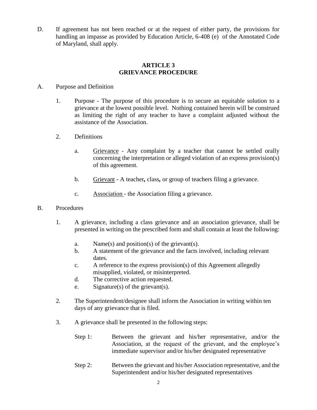D. If agreement has not been reached or at the request of either party, the provisions for handling an impasse as provided by Education Article, 6-408 (e) of the Annotated Code of Maryland, shall apply.

#### **ARTICLE 3 GRIEVANCE PROCEDURE**

#### A. Purpose and Definition

- 1. Purpose The purpose of this procedure is to secure an equitable solution to a grievance at the lowest possible level. Nothing contained herein will be construed as limiting the right of any teacher to have a complaint adjusted without the assistance of the Association.
- 2. Definitions
	- a. Grievance Any complaint by a teacher that cannot be settled orally concerning the interpretation or alleged violation of an express provision(s) of this agreement.
	- b. Grievant A teacher*,* class*,* or group of teachers filing a grievance.
	- c. Association the Association filing a grievance.
- B. Procedures
	- 1. A grievance, including a class grievance and an association grievance, shall be presented in writing on the prescribed form and shall contain at least the following:
		- a. Name(s) and position(s) of the grievant(s).
		- b. A statement of the grievance and the facts involved, including relevant dates.
		- c. A reference to the express provision(s) of this Agreement allegedly misapplied, violated, or misinterpreted.
		- d. The corrective action requested.
		- e. Signature(s) of the grievant(s).
	- 2. The Superintendent/designee shall inform the Association in writing within ten days of any grievance that is filed.
	- 3. A grievance shall be presented in the following steps:
		- Step 1: Between the grievant and his/her representative, and/or the Association, at the request of the grievant, and the employee's immediate supervisor and/or his/her designated representative
		- Step 2: Between the grievant and his/her Association representative, and the Superintendent and/or his/her designated representatives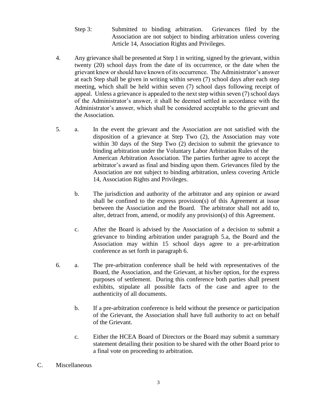- Step 3: Submitted to binding arbitration. Grievances filed by the Association are not subject to binding arbitration unless covering Article 14, Association Rights and Privileges.
- 4. Any grievance shall be presented at Step 1 in writing, signed by the grievant, within twenty (20) school days from the date of its occurrence, or the date when the grievant knew or should have known of its occurrence. The Administrator's answer at each Step shall be given in writing within seven (7) school days after each step meeting, which shall be held within seven (7) school days following receipt of appeal. Unless a grievance is appealed to the next step within seven (7) school days of the Administrator's answer, it shall be deemed settled in accordance with the Administrator's answer, which shall be considered acceptable to the grievant and the Association.
- 5. a. In the event the grievant and the Association are not satisfied with the disposition of a grievance at Step Two (2), the Association may vote within 30 days of the Step Two (2) decision to submit the grievance to binding arbitration under the Voluntary Labor Arbitration Rules of the American Arbitration Association. The parties further agree to accept the arbitrator's award as final and binding upon them. Grievances filed by the Association are not subject to binding arbitration, unless covering Article 14, Association Rights and Privileges.
	- b. The jurisdiction and authority of the arbitrator and any opinion or award shall be confined to the express provision(s) of this Agreement at issue between the Association and the Board. The arbitrator shall not add to, alter, detract from, amend, or modify any provision(s) of this Agreement.
	- c. After the Board is advised by the Association of a decision to submit a grievance to binding arbitration under paragraph 5.a, the Board and the Association may within 15 school days agree to a pre-arbitration conference as set forth in paragraph 6.
- 6. a. The pre-arbitration conference shall be held with representatives of the Board, the Association, and the Grievant, at his/her option, for the express purposes of settlement. During this conference both parties shall present exhibits, stipulate all possible facts of the case and agree to the authenticity of all documents.
	- b. If a pre-arbitration conference is held without the presence or participation of the Grievant, the Association shall have full authority to act on behalf of the Grievant.
	- c. Either the HCEA Board of Directors or the Board may submit a summary statement detailing their position to be shared with the other Board prior to a final vote on proceeding to arbitration.
- C. Miscellaneous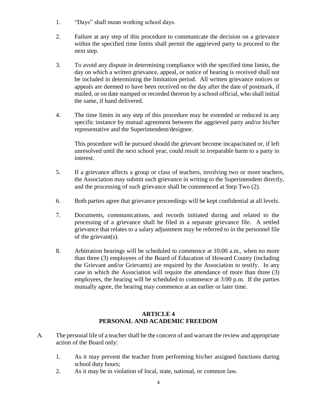- 1. "Days" shall mean working school days.
- 2. Failure at any step of this procedure to communicate the decision on a grievance within the specified time limits shall permit the aggrieved party to proceed to the next step.
- 3. To avoid any dispute in determining compliance with the specified time limits, the day on which a written grievance, appeal, or notice of hearing is received shall not be included in determining the limitation period. All written grievance notices or appeals are deemed to have been received on the day after the date of postmark, if mailed, or on date stamped or recorded thereon by a school official, who shall initial the same, if hand delivered.
- 4. The time limits in any step of this procedure may be extended or reduced in any specific instance by mutual agreement between the aggrieved party and/or his/her representative and the Superintendent/designee.

This procedure will be pursued should the grievant become incapacitated or, if left unresolved until the next school year, could result in irreparable harm to a party in interest.

- 5. If a grievance affects a group or class of teachers, involving two or more teachers, the Association may submit such grievance in writing to the Superintendent directly, and the processing of such grievance shall be commenced at Step Two (2).
- 6. Both parties agree that grievance proceedings will be kept confidential at all levels.
- 7. Documents, communications, and records initiated during and related to the processing of a grievance shall be filed in a separate grievance file. A settled grievance that relates to a salary adjustment may be referred to in the personnel file of the grievant(s).
- 8. Arbitration hearings will be scheduled to commence at 10:00 a.m., when no more than three (3) employees of the Board of Education of Howard County (including the Grievant and/or Grievants) are required by the Association to testify. In any case in which the Association will require the attendance of more than three (3) employees, the hearing will be scheduled to commence at 3:00 p.m. If the parties mutually agree, the hearing may commence at an earlier or later time.

#### **ARTICLE 4 PERSONAL AND ACADEMIC FREEDOM**

- A. The personal life of a teacher shall be the concern of and warrant the review and appropriate action of the Board only:
	- 1. As it may prevent the teacher from performing his/her assigned functions during school duty hours;
	- 2. As it may be in violation of local, state, national, or common law.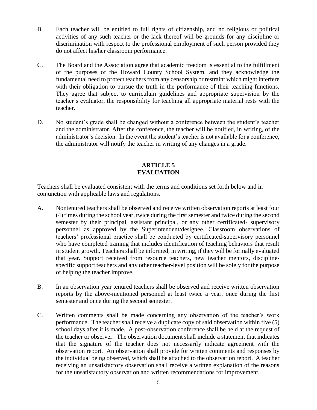- B. Each teacher will be entitled to full rights of citizenship, and no religious or political activities of any such teacher or the lack thereof will be grounds for any discipline or discrimination with respect to the professional employment of such person provided they do not affect his/her classroom performance.
- C. The Board and the Association agree that academic freedom is essential to the fulfillment of the purposes of the Howard County School System, and they acknowledge the fundamental need to protect teachers from any censorship or restraint which might interfere with their obligation to pursue the truth in the performance of their teaching functions. They agree that subject to curriculum guidelines and appropriate supervision by the teacher's evaluator, the responsibility for teaching all appropriate material rests with the teacher.
- D. No student's grade shall be changed without a conference between the student's teacher and the administrator. After the conference, the teacher will be notified, in writing, of the administrator's decision. In the event the student's teacher is not available for a conference, the administrator will notify the teacher in writing of any changes in a grade.

#### **ARTICLE 5 EVALUATION**

Teachers shall be evaluated consistent with the terms and conditions set forth below and in conjunction with applicable laws and regulations.

- A. Nontenured teachers shall be observed and receive written observation reports at least four (4) times during the school year, twice during the first semester and twice during the second semester by their principal, assistant principal, or any other certificated- supervisory personnel as approved by the Superintendent/designee. Classroom observations of teachers' professional practice shall be conducted by certificated-supervisory personnel who have completed training that includes identification of teaching behaviors that result in student growth. Teachers shall be informed, in writing, if they will be formally evaluated that year. Support received from resource teachers, new teacher mentors, disciplinespecific support teachers and any other teacher-level position will be solely for the purpose of helping the teacher improve.
- B. In an observation year tenured teachers shall be observed and receive written observation reports by the above-mentioned personnel at least twice a year, once during the first semester and once during the second semester.
- C. Written comments shall be made concerning any observation of the teacher's work performance. The teacher shall receive a duplicate copy of said observation within five (5) school days after it is made. A post-observation conference shall be held at the request of the teacher or observer. The observation document shall include a statement that indicates that the signature of the teacher does not necessarily indicate agreement with the observation report. An observation shall provide for written comments and responses by the individual being observed, which shall be attached to the observation report. A teacher receiving an unsatisfactory observation shall receive a written explanation of the reasons for the unsatisfactory observation and written recommendations for improvement.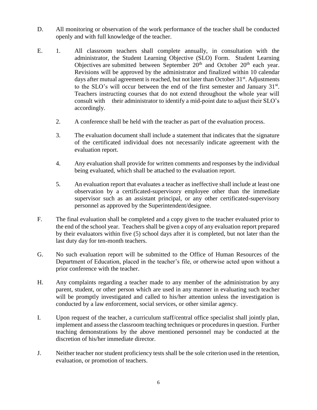- D. All monitoring or observation of the work performance of the teacher shall be conducted openly and with full knowledge of the teacher.
- E. 1. All classroom teachers shall complete annually, in consultation with the administrator, the Student Learning Objective (SLO) Form. Student Learning Objectives are submitted between September  $20<sup>th</sup>$  and October  $20<sup>th</sup>$  each year. Revisions will be approved by the administrator and finalized within 10 calendar days after mutual agreement is reached, but not later than October  $31<sup>st</sup>$ . Adjustments to the SLO's will occur between the end of the first semester and January 31<sup>st</sup>. Teachers instructing courses that do not extend throughout the whole year will consult with their administrator to identify a mid-point date to adjust their SLO's accordingly.
	- 2. A conference shall be held with the teacher as part of the evaluation process.
	- 3. The evaluation document shall include a statement that indicates that the signature of the certificated individual does not necessarily indicate agreement with the evaluation report.
	- 4. Any evaluation shall provide for written comments and responses by the individual being evaluated, which shall be attached to the evaluation report.
	- 5. An evaluation report that evaluates a teacher as ineffective shall include at least one observation by a certificated-supervisory employee other than the immediate supervisor such as an assistant principal, or any other certificated-supervisory personnel as approved by the Superintendent/designee.
- F. The final evaluation shall be completed and a copy given to the teacher evaluated prior to the end of the school year. Teachers shall be given a copy of any evaluation report prepared by their evaluators within five (5) school days after it is completed, but not later than the last duty day for ten-month teachers.
- G. No such evaluation report will be submitted to the Office of Human Resources of the Department of Education, placed in the teacher's file, or otherwise acted upon without a prior conference with the teacher.
- H. Any complaints regarding a teacher made to any member of the administration by any parent, student, or other person which are used in any manner in evaluating such teacher will be promptly investigated and called to his/her attention unless the investigation is conducted by a law enforcement, social services, or other similar agency.
- I. Upon request of the teacher, a curriculum staff/central office specialist shall jointly plan, implement and assess the classroom teaching techniques or procedures in question. Further teaching demonstrations by the above mentioned personnel may be conducted at the discretion of his/her immediate director.
- J. Neither teacher nor student proficiency tests shall be the sole criterion used in the retention, evaluation, or promotion of teachers.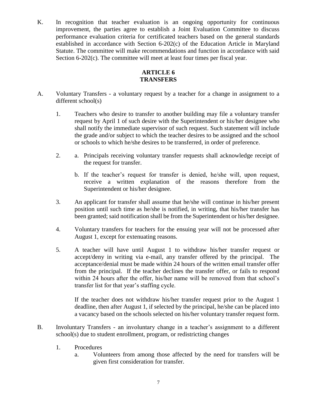K. In recognition that teacher evaluation is an ongoing opportunity for continuous improvement, the parties agree to establish a Joint Evaluation Committee to discuss performance evaluation criteria for certificated teachers based on the general standards established in accordance with Section 6-202(c) of the Education Article in Maryland Statute. The committee will make recommendations and function in accordance with said Section 6-202(c). The committee will meet at least four times per fiscal year.

### **ARTICLE 6 TRANSFERS**

- A. Voluntary Transfers a voluntary request by a teacher for a change in assignment to a different school(s)
	- 1. Teachers who desire to transfer to another building may file a voluntary transfer request by April 1 of such desire with the Superintendent or his/her designee who shall notify the immediate supervisor of such request. Such statement will include the grade and/or subject to which the teacher desires to be assigned and the school or schools to which he/she desires to be transferred, in order of preference.
	- 2. a. Principals receiving voluntary transfer requests shall acknowledge receipt of the request for transfer.
		- b. If the teacher's request for transfer is denied, he/she will, upon request, receive a written explanation of the reasons therefore from the Superintendent or his/her designee.
	- 3. An applicant for transfer shall assume that he/she will continue in his/her present position until such time as he/she is notified, in writing, that his/her transfer has been granted; said notification shall be from the Superintendent or his/her designee.
	- 4. Voluntary transfers for teachers for the ensuing year will not be processed after August 1, except for extenuating reasons.
	- 5. A teacher will have until August 1 to withdraw his/her transfer request or accept/deny in writing via e-mail, any transfer offered by the principal. The acceptance/denial must be made within 24 hours of the written email transfer offer from the principal. If the teacher declines the transfer offer, or fails to respond within 24 hours after the offer, his/her name will be removed from that school's transfer list for that year's staffing cycle.

If the teacher does not withdraw his/her transfer request prior to the August 1 deadline, then after August 1, if selected by the principal, he/she can be placed into a vacancy based on the schools selected on his/her voluntary transfer request form.

- B. Involuntary Transfers an involuntary change in a teacher's assignment to a different school(s) due to student enrollment, program, or redistricting changes
	- 1. Procedures
		- a. Volunteers from among those affected by the need for transfers will be given first consideration for transfer.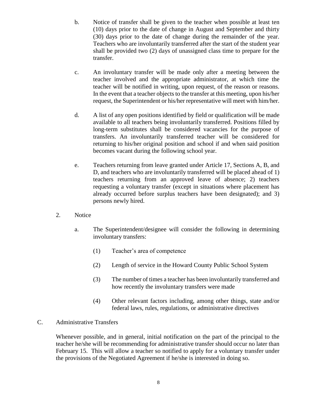- b. Notice of transfer shall be given to the teacher when possible at least ten (10) days prior to the date of change in August and September and thirty (30) days prior to the date of change during the remainder of the year. Teachers who are involuntarily transferred after the start of the student year shall be provided two (2) days of unassigned class time to prepare for the transfer.
- c. An involuntary transfer will be made only after a meeting between the teacher involved and the appropriate administrator, at which time the teacher will be notified in writing, upon request, of the reason or reasons. In the event that a teacher objects to the transfer at this meeting, upon his/her request, the Superintendent or his/her representative will meet with him/her.
- d. A list of any open positions identified by field or qualification will be made available to all teachers being involuntarily transferred. Positions filled by long-term substitutes shall be considered vacancies for the purpose of transfers. An involuntarily transferred teacher will be considered for returning to his/her original position and school if and when said position becomes vacant during the following school year.
- e. Teachers returning from leave granted under Article 17, Sections A, B, and D, and teachers who are involuntarily transferred will be placed ahead of 1) teachers returning from an approved leave of absence; 2) teachers requesting a voluntary transfer (except in situations where placement has already occurred before surplus teachers have been designated); and 3) persons newly hired.
- 2. Notice
	- a. The Superintendent/designee will consider the following in determining involuntary transfers:
		- (1) Teacher's area of competence
		- (2) Length of service in the Howard County Public School System
		- (3) The number of times a teacher has been involuntarily transferred and how recently the involuntary transfers were made
		- (4) Other relevant factors including, among other things, state and/or federal laws, rules, regulations, or administrative directives

#### C. Administrative Transfers

Whenever possible, and in general, initial notification on the part of the principal to the teacher he/she will be recommending for administrative transfer should occur no later than February 15. This will allow a teacher so notified to apply for a voluntary transfer under the provisions of the Negotiated Agreement if he/she is interested in doing so.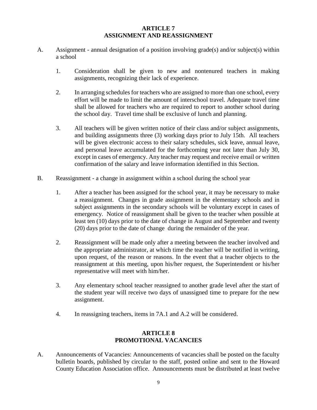#### **ARTICLE 7 ASSIGNMENT AND REASSIGNMENT**

- A. Assignment annual designation of a position involving grade(s) and/or subject(s) within a school
	- 1. Consideration shall be given to new and nontenured teachers in making assignments, recognizing their lack of experience.
	- 2. In arranging schedules for teachers who are assigned to more than one school, every effort will be made to limit the amount of interschool travel. Adequate travel time shall be allowed for teachers who are required to report to another school during the school day. Travel time shall be exclusive of lunch and planning.
	- 3. All teachers will be given written notice of their class and/or subject assignments, and building assignments three (3) working days prior to July 15th. All teachers will be given electronic access to their salary schedules, sick leave, annual leave, and personal leave accumulated for the forthcoming year not later than July 30, except in cases of emergency. Any teacher may request and receive email or written confirmation of the salary and leave information identified in this Section.
- B. Reassignment a change in assignment within a school during the school year
	- 1. After a teacher has been assigned for the school year, it may be necessary to make a reassignment. Changes in grade assignment in the elementary schools and in subject assignments in the secondary schools will be voluntary except in cases of emergency. Notice of reassignment shall be given to the teacher when possible at least ten (10) days prior to the date of change in August and September and twenty (20) days prior to the date of change during the remainder of the year.
	- 2. Reassignment will be made only after a meeting between the teacher involved and the appropriate administrator, at which time the teacher will be notified in writing, upon request, of the reason or reasons. In the event that a teacher objects to the reassignment at this meeting, upon his/her request, the Superintendent or his/her representative will meet with him/her.
	- 3. Any elementary school teacher reassigned to another grade level after the start of the student year will receive two days of unassigned time to prepare for the new assignment.
	- 4. In reassigning teachers, items in 7A.1 and A.2 will be considered.

#### **ARTICLE 8 PROMOTIONAL VACANCIES**

A. Announcements of Vacancies: Announcements of vacancies shall be posted on the faculty bulletin boards, published by circular to the staff, posted online and sent to the Howard County Education Association office. Announcements must be distributed at least twelve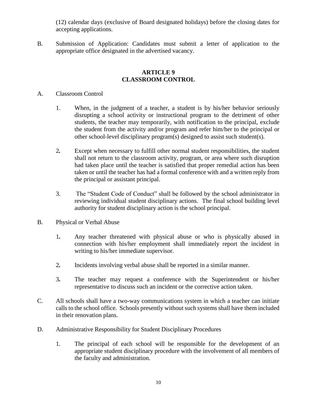(12) calendar days (exclusive of Board designated holidays) before the closing dates for accepting applications.

B. Submission of Application: Candidates must submit a letter of application to the appropriate office designated in the advertised vacancy.

#### **ARTICLE 9 CLASSROOM CONTROL**

- A. Classroom Control
	- 1. When, in the judgment of a teacher, a student is by his/her behavior seriously disrupting a school activity or instructional program to the detriment of other students, the teacher may temporarily, with notification to the principal, exclude the student from the activity and/or program and refer him/her to the principal or other school-level disciplinary program(s) designed to assist such student(s).
	- 2*.* Except when necessary to fulfill other normal student responsibilities, the student shall not return to the classroom activity, program, or area where such disruption had taken place until the teacher is satisfied that proper remedial action has been taken or until the teacher has had a formal conference with and a written reply from the principal or assistant principal.
	- 3. The "Student Code of Conduct" shall be followed by the school administrator in reviewing individual student disciplinary actions. The final school building level authority for student disciplinary action is the school principal.
- B. Physical or Verbal Abuse
	- 1*.* Any teacher threatened with physical abuse or who is physically abused in connection with his/her employment shall immediately report the incident in writing to his/her immediate supervisor.
	- 2*.* Incidents involving verbal abuse shall be reported in a similar manner.
	- 3*.* The teacher may request a conference with the Superintendent or his/her representative to discuss such an incident or the corrective action taken.
- C. All schools shall have a two-way communications system in which a teacher can initiate calls to the school office. Schools presently without such systems shall have them included in their renovation plans.
- D. Administrative Responsibility for Student Disciplinary Procedures
	- 1*.* The principal of each school will be responsible for the development of an appropriate student disciplinary procedure with the involvement of all members of the faculty and administration.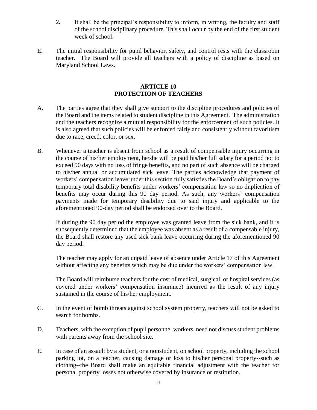- 2*.* It shall be the principal's responsibility to inform, in writing, the faculty and staff of the school disciplinary procedure. This shall occur by the end of the first student week of school.
- E. The initial responsibility for pupil behavior, safety, and control rests with the classroom teacher. The Board will provide all teachers with a policy of discipline as based on Maryland School Laws.

#### **ARTICLE 10 PROTECTION OF TEACHERS**

- A. The parties agree that they shall give support to the discipline procedures and policies of the Board and the items related to student discipline in this Agreement. The administration and the teachers recognize a mutual responsibility for the enforcement of such policies. It is also agreed that such policies will be enforced fairly and consistently without favoritism due to race, creed, color, or sex.
- B. Whenever a teacher is absent from school as a result of compensable injury occurring in the course of his/her employment, he/she will be paid his/her full salary for a period not to exceed 90 days with no loss of fringe benefits, and no part of such absence will be charged to his/her annual or accumulated sick leave. The parties acknowledge that payment of workers' compensation leave under this section fully satisfies the Board's obligation to pay temporary total disability benefits under workers' compensation law so no duplication of benefits may occur during this 90 day period. As such, any workers' compensation payments made for temporary disability due to said injury and applicable to the aforementioned 90-day period shall be endorsed over to the Board.

If during the 90 day period the employee was granted leave from the sick bank, and it is subsequently determined that the employee was absent as a result of a compensable injury, the Board shall restore any used sick bank leave occurring during the aforementioned 90 day period.

The teacher may apply for an unpaid leave of absence under Article 17 of this Agreement without affecting any benefits which may be due under the workers' compensation law.

The Board will reimburse teachers for the cost of medical, surgical, or hospital services (as covered under workers' compensation insurance) incurred as the result of any injury sustained in the course of his/her employment.

- C. In the event of bomb threats against school system property, teachers will not be asked to search for bombs.
- D. Teachers, with the exception of pupil personnel workers, need not discuss student problems with parents away from the school site.
- E. In case of an assault by a student, or a nonstudent, on school property, including the school parking lot, on a teacher, causing damage or loss to his/her personal property--such as clothing--the Board shall make an equitable financial adjustment with the teacher for personal property losses not otherwise covered by insurance or restitution.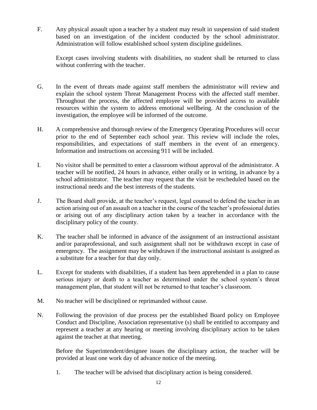F. Any physical assault upon a teacher by a student may result in suspension of said student based on an investigation of the incident conducted by the school administrator. Administration will follow established school system discipline guidelines.

Except cases involving students with disabilities, no student shall be returned to class without conferring with the teacher.

- G. In the event of threats made against staff members the administrator will review and explain the school system Threat Management Process with the affected staff member. Throughout the process, the affected employee will be provided access to available resources within the system to address emotional wellbeing. At the conclusion of the investigation, the employee will be informed of the outcome.
- H. A comprehensive and thorough review of the Emergency Operating Procedures will occur prior to the end of September each school year. This review will include the roles, responsibilities, and expectations of staff members in the event of an emergency. Information and instructions on accessing 911 will be included.
- I. No visitor shall be permitted to enter a classroom without approval of the administrator. A teacher will be notified, 24 hours in advance, either orally or in writing, in advance by a school administrator. The teacher may request that the visit be rescheduled based on the instructional needs and the best interests of the students.
- J. The Board shall provide, at the teacher's request, legal counsel to defend the teacher in an action arising out of an assault on a teacher in the course of the teacher's professional duties or arising out of any disciplinary action taken by a teacher in accordance with the disciplinary policy of the county.
- K. The teacher shall be informed in advance of the assignment of an instructional assistant and/or paraprofessional, and such assignment shall not be withdrawn except in case of emergency. The assignment may be withdrawn if the instructional assistant is assigned as a substitute for a teacher for that day only.
- L. Except for students with disabilities, if a student has been apprehended in a plan to cause serious injury or death to a teacher as determined under the school system's threat management plan, that student will not be returned to that teacher's classroom.
- M. No teacher will be disciplined or reprimanded without cause.
- N. Following the provision of due process per the established Board policy on Employee Conduct and Discipline, Association representative (s) shall be entitled to accompany and represent a teacher at any hearing or meeting involving disciplinary action to be taken against the teacher at that meeting.

Before the Superintendent/designee issues the disciplinary action, the teacher will be provided at least one work day of advance notice of the meeting.

1. The teacher will be advised that disciplinary action is being considered.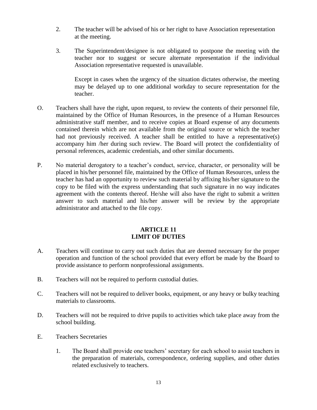- 2. The teacher will be advised of his or her right to have Association representation at the meeting.
- 3. The Superintendent/designee is not obligated to postpone the meeting with the teacher nor to suggest or secure alternate representation if the individual Association representative requested is unavailable.

Except in cases when the urgency of the situation dictates otherwise, the meeting may be delayed up to one additional workday to secure representation for the teacher.

- O. Teachers shall have the right, upon request, to review the contents of their personnel file, maintained by the Office of Human Resources, in the presence of a Human Resources administrative staff member, and to receive copies at Board expense of any documents contained therein which are not available from the original source or which the teacher had not previously received. A teacher shall be entitled to have a representative(s) accompany him /her during such review. The Board will protect the confidentiality of personal references, academic credentials, and other similar documents.
- P. No material derogatory to a teacher's conduct, service, character, or personality will be placed in his/her personnel file, maintained by the Office of Human Resources, unless the teacher has had an opportunity to review such material by affixing his/her signature to the copy to be filed with the express understanding that such signature in no way indicates agreement with the contents thereof. He/she will also have the right to submit a written answer to such material and his/her answer will be review by the appropriate administrator and attached to the file copy.

#### **ARTICLE 11 LIMIT OF DUTIES**

- A. Teachers will continue to carry out such duties that are deemed necessary for the proper operation and function of the school provided that every effort be made by the Board to provide assistance to perform nonprofessional assignments.
- B. Teachers will not be required to perform custodial duties.
- C. Teachers will not be required to deliver books, equipment, or any heavy or bulky teaching materials to classrooms.
- D. Teachers will not be required to drive pupils to activities which take place away from the school building.
- E. Teachers Secretaries
	- 1. The Board shall provide one teachers' secretary for each school to assist teachers in the preparation of materials, correspondence, ordering supplies, and other duties related exclusively to teachers.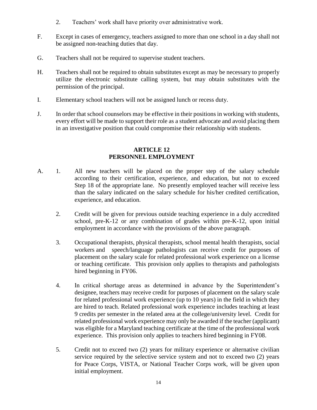- 2. Teachers' work shall have priority over administrative work.
- F. Except in cases of emergency, teachers assigned to more than one school in a day shall not be assigned non-teaching duties that day.
- G. Teachers shall not be required to supervise student teachers.
- H. Teachers shall not be required to obtain substitutes except as may be necessary to properly utilize the electronic substitute calling system, but may obtain substitutes with the permission of the principal.
- I. Elementary school teachers will not be assigned lunch or recess duty.
- J. In order that school counselors may be effective in their positions in working with students, every effort will be made to support their role as a student advocate and avoid placing them in an investigative position that could compromise their relationship with students.

#### **ARTICLE 12 PERSONNEL EMPLOYMENT**

- A. 1. All new teachers will be placed on the proper step of the salary schedule according to their certification, experience, and education, but not to exceed Step 18 of the appropriate lane. No presently employed teacher will receive less than the salary indicated on the salary schedule for his/her credited certification, experience, and education.
	- 2. Credit will be given for previous outside teaching experience in a duly accredited school, pre-K-12 or any combination of grades within pre-K-12, upon initial employment in accordance with the provisions of the above paragraph.
	- 3. Occupational therapists, physical therapists, school mental health therapists, social workers and speech/language pathologists can receive credit for purposes of placement on the salary scale for related professional work experience on a license or teaching certificate. This provision only applies to therapists and pathologists hired beginning in FY06.
	- 4. In critical shortage areas as determined in advance by the Superintendent's designee, teachers may receive credit for purposes of placement on the salary scale for related professional work experience (up to 10 years) in the field in which they are hired to teach. Related professional work experience includes teaching at least 9 credits per semester in the related area at the college/university level. Credit for related professional work experience may only be awarded if the teacher (applicant) was eligible for a Maryland teaching certificate at the time of the professional work experience. This provision only applies to teachers hired beginning in FY08.
	- 5. Credit not to exceed two (2) years for military experience or alternative civilian service required by the selective service system and not to exceed two (2) years for Peace Corps, VISTA, or National Teacher Corps work, will be given upon initial employment.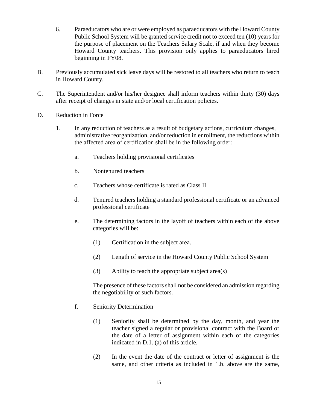- 6. Paraeducators who are or were employed as paraeducators with the Howard County Public School System will be granted service credit not to exceed ten (10) years for the purpose of placement on the Teachers Salary Scale, if and when they become Howard County teachers. This provision only applies to paraeducators hired beginning in FY08.
- B. Previously accumulated sick leave days will be restored to all teachers who return to teach in Howard County.
- C. The Superintendent and/or his/her designee shall inform teachers within thirty (30) days after receipt of changes in state and/or local certification policies.
- D. Reduction in Force
	- 1. In any reduction of teachers as a result of budgetary actions, curriculum changes, administrative reorganization, and/or reduction in enrollment, the reductions within the affected area of certification shall be in the following order:
		- a. Teachers holding provisional certificates
		- b. Nontenured teachers
		- c. Teachers whose certificate is rated as Class II
		- d. Tenured teachers holding a standard professional certificate or an advanced professional certificate
		- e. The determining factors in the layoff of teachers within each of the above categories will be:
			- (1) Certification in the subject area.
			- (2) Length of service in the Howard County Public School System
			- (3) Ability to teach the appropriate subject area(s)

The presence of these factors shall not be considered an admission regarding the negotiability of such factors.

- f. Seniority Determination
	- (1) Seniority shall be determined by the day, month, and year the teacher signed a regular or provisional contract with the Board or the date of a letter of assignment within each of the categories indicated in D.1. (a) of this article.
	- (2) In the event the date of the contract or letter of assignment is the same, and other criteria as included in 1.b. above are the same,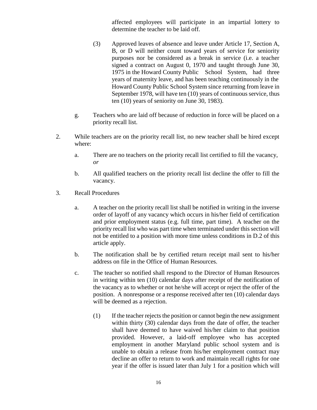affected employees will participate in an impartial lottery to determine the teacher to be laid off.

- (3) Approved leaves of absence and leave under Article 17, Section A, B, or D will neither count toward years of service for seniority purposes nor be considered as a break in service (i.e. a teacher signed a contract on August 0, 1970 and taught through June 30, 1975 in the Howard County Public School System, had three years of maternity leave, and has been teaching continuously in the Howard County Public School System since returning from leave in September 1978, will have ten (10) years of continuous service, thus ten (10) years of seniority on June 30, 1983).
- g. Teachers who are laid off because of reduction in force will be placed on a priority recall list.
- 2. While teachers are on the priority recall list, no new teacher shall be hired except where:
	- a. There are no teachers on the priority recall list certified to fill the vacancy, *or*
	- b. All qualified teachers on the priority recall list decline the offer to fill the vacancy.
- 3. Recall Procedures
	- a. A teacher on the priority recall list shall be notified in writing in the inverse order of layoff of any vacancy which occurs in his/her field of certification and prior employment status (e.g. full time, part time). A teacher on the priority recall list who was part time when terminated under this section will not be entitled to a position with more time unless conditions in D.2 of this article apply.
	- b. The notification shall be by certified return receipt mail sent to his/her address on file in the Office of Human Resources.
	- c. The teacher so notified shall respond to the Director of Human Resources in writing within ten (10) calendar days after receipt of the notification of the vacancy as to whether or not he/she will accept or reject the offer of the position. A nonresponse or a response received after ten (10) calendar days will be deemed as a rejection.
		- (1) If the teacher rejects the position or cannot begin the new assignment within thirty (30) calendar days from the date of offer, the teacher shall have deemed to have waived his/her claim to that position provided. However, a laid-off employee who has accepted employment in another Maryland public school system and is unable to obtain a release from his/her employment contract may decline an offer to return to work and maintain recall rights for one year if the offer is issued later than July 1 for a position which will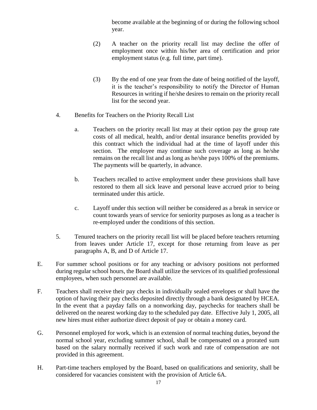become available at the beginning of or during the following school year.

- (2) A teacher on the priority recall list may decline the offer of employment once within his/her area of certification and prior employment status (e.g. full time, part time).
- (3) By the end of one year from the date of being notified of the layoff, it is the teacher's responsibility to notify the Director of Human Resources in writing if he/she desires to remain on the priority recall list for the second year.
- 4. Benefits for Teachers on the Priority Recall List
	- a. Teachers on the priority recall list may at their option pay the group rate costs of all medical, health, and/or dental insurance benefits provided by this contract which the individual had at the time of layoff under this section. The employee may continue such coverage as long as he/she remains on the recall list and as long as he/she pays 100% of the premiums. The payments will be quarterly, in advance.
	- b. Teachers recalled to active employment under these provisions shall have restored to them all sick leave and personal leave accrued prior to being terminated under this article.
	- c. Layoff under this section will neither be considered as a break in service or count towards years of service for seniority purposes as long as a teacher is re-employed under the conditions of this section.
- 5. Tenured teachers on the priority recall list will be placed before teachers returning from leaves under Article 17, except for those returning from leave as per paragraphs A, B, and D of Article 17.
- E. For summer school positions or for any teaching or advisory positions not performed during regular school hours, the Board shall utilize the services of its qualified professional employees, when such personnel are available.
- F. Teachers shall receive their pay checks in individually sealed envelopes or shall have the option of having their pay checks deposited directly through a bank designated by HCEA. In the event that a payday falls on a nonworking day, paychecks for teachers shall be delivered on the nearest working day to the scheduled pay date. Effective July 1, 2005, all new hires must either authorize direct deposit of pay or obtain a money card.
- G. Personnel employed for work, which is an extension of normal teaching duties, beyond the normal school year, excluding summer school, shall be compensated on a prorated sum based on the salary normally received if such work and rate of compensation are not provided in this agreement.
- H. Part-time teachers employed by the Board, based on qualifications and seniority, shall be considered for vacancies consistent with the provision of Article 6A.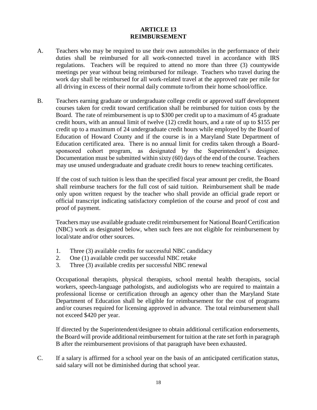#### **ARTICLE 13 REIMBURSEMENT**

- A. Teachers who may be required to use their own automobiles in the performance of their duties shall be reimbursed for all work-connected travel in accordance with IRS regulations. Teachers will be required to attend no more than three (3) countywide meetings per year without being reimbursed for mileage. Teachers who travel during the work day shall be reimbursed for all work-related travel at the approved rate per mile for all driving in excess of their normal daily commute to/from their home school/office.
- B. Teachers earning graduate or undergraduate college credit or approved staff development courses taken for credit toward certification shall be reimbursed for tuition costs by the Board. The rate of reimbursement is up to \$300 per credit up to a maximum of 45 graduate credit hours, with an annual limit of twelve (12) credit hours, and a rate of up to \$155 per credit up to a maximum of 24 undergraduate credit hours while employed by the Board of Education of Howard County and if the course is in a Maryland State Department of Education certificated area. There is no annual limit for credits taken through a Boardsponsored cohort program, as designated by the Superintendent's designee. Documentation must be submitted within sixty (60) days of the end of the course. Teachers may use unused undergraduate and graduate credit hours to renew teaching certificates.

If the cost of such tuition is less than the specified fiscal year amount per credit, the Board shall reimburse teachers for the full cost of said tuition. Reimbursement shall be made only upon written request by the teacher who shall provide an official grade report or official transcript indicating satisfactory completion of the course and proof of cost and proof of payment.

Teachers may use available graduate credit reimbursement for National Board Certification (NBC) work as designated below, when such fees are not eligible for reimbursement by local/state and/or other sources.

- 1. Three (3) available credits for successful NBC candidacy
- 2. One (1) available credit per successful NBC retake
- 3. Three (3) available credits per successful NBC renewal

Occupational therapists, physical therapists, school mental health therapists, social workers, speech-language pathologists, and audiologists who are required to maintain a professional license or certification through an agency other than the Maryland State Department of Education shall be eligible for reimbursement for the cost of programs and/or courses required for licensing approved in advance. The total reimbursement shall not exceed \$420 per year.

If directed by the Superintendent/designee to obtain additional certification endorsements, the Board will provide additional reimbursement for tuition at the rate set forth in paragraph B after the reimbursement provisions of that paragraph have been exhausted.

C. If a salary is affirmed for a school year on the basis of an anticipated certification status, said salary will not be diminished during that school year.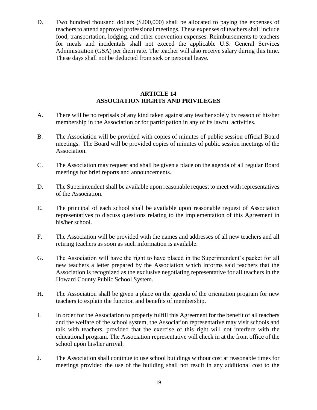D. Two hundred thousand dollars (\$200,000) shall be allocated to paying the expenses of teachers to attend approved professional meetings. These expenses of teachers shall include food, transportation, lodging, and other convention expenses. Reimbursements to teachers for meals and incidentals shall not exceed the applicable U.S. General Services Administration (GSA) per diem rate. The teacher will also receive salary during this time. These days shall not be deducted from sick or personal leave.

#### **ARTICLE 14 ASSOCIATION RIGHTS AND PRIVILEGES**

- A. There will be no reprisals of any kind taken against any teacher solely by reason of his/her membership in the Association or for participation in any of its lawful activities.
- B. The Association will be provided with copies of minutes of public session official Board meetings. The Board will be provided copies of minutes of public session meetings of the Association.
- C. The Association may request and shall be given a place on the agenda of all regular Board meetings for brief reports and announcements.
- D. The Superintendent shall be available upon reasonable request to meet with representatives of the Association.
- E. The principal of each school shall be available upon reasonable request of Association representatives to discuss questions relating to the implementation of this Agreement in his/her school.
- F. The Association will be provided with the names and addresses of all new teachers and all retiring teachers as soon as such information is available.
- G. The Association will have the right to have placed in the Superintendent's packet for all new teachers a letter prepared by the Association which informs said teachers that the Association is recognized as the exclusive negotiating representative for all teachers in the Howard County Public School System.
- H. The Association shall be given a place on the agenda of the orientation program for new teachers to explain the function and benefits of membership.
- I. In order for the Association to properly fulfill this Agreement for the benefit of all teachers and the welfare of the school system, the Association representative may visit schools and talk with teachers, provided that the exercise of this right will not interfere with the educational program. The Association representative will check in at the front office of the school upon his/her arrival.
- J. The Association shall continue to use school buildings without cost at reasonable times for meetings provided the use of the building shall not result in any additional cost to the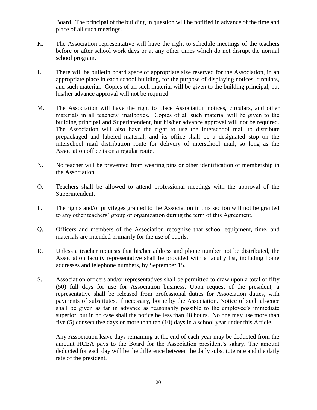Board. The principal of the building in question will be notified in advance of the time and place of all such meetings.

- K. The Association representative will have the right to schedule meetings of the teachers before or after school work days or at any other times which do not disrupt the normal school program.
- L. There will be bulletin board space of appropriate size reserved for the Association, in an appropriate place in each school building, for the purpose of displaying notices, circulars, and such material. Copies of all such material will be given to the building principal, but his/her advance approval will not be required.
- M. The Association will have the right to place Association notices, circulars, and other materials in all teachers' mailboxes. Copies of all such material will be given to the building principal and Superintendent, but his/her advance approval will not be required. The Association will also have the right to use the interschool mail to distribute prepackaged and labeled material, and its office shall be a designated stop on the interschool mail distribution route for delivery of interschool mail, so long as the Association office is on a regular route.
- N. No teacher will be prevented from wearing pins or other identification of membership in the Association.
- O. Teachers shall be allowed to attend professional meetings with the approval of the Superintendent.
- P. The rights and/or privileges granted to the Association in this section will not be granted to any other teachers' group or organization during the term of this Agreement.
- Q. Officers and members of the Association recognize that school equipment, time, and materials are intended primarily for the use of pupils.
- R. Unless a teacher requests that his/her address and phone number not be distributed, the Association faculty representative shall be provided with a faculty list, including home addresses and telephone numbers, by September 15.
- S. Association officers and/or representatives shall be permitted to draw upon a total of fifty (50) full days for use for Association business. Upon request of the president, a representative shall be released from professional duties for Association duties, with payments of substitutes, if necessary, borne by the Association. Notice of such absence shall be given as far in advance as reasonably possible to the employee's immediate superior, but in no case shall the notice be less than 48 hours. No one may use more than five (5) consecutive days or more than ten (10) days in a school year under this Article.

Any Association leave days remaining at the end of each year may be deducted from the amount HCEA pays to the Board for the Association president's salary. The amount deducted for each day will be the difference between the daily substitute rate and the daily rate of the president.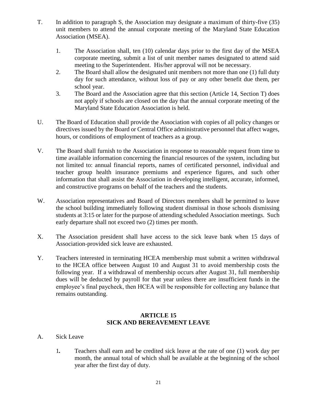- T. In addition to paragraph S, the Association may designate a maximum of thirty-five (35) unit members to attend the annual corporate meeting of the Maryland State Education Association (MSEA).
	- 1. The Association shall, ten (10) calendar days prior to the first day of the MSEA corporate meeting, submit a list of unit member names designated to attend said meeting to the Superintendent. His/her approval will not be necessary.
	- 2. The Board shall allow the designated unit members not more than one (1) full duty day for such attendance, without loss of pay or any other benefit due them, per school year.
	- 3. The Board and the Association agree that this section (Article 14, Section T) does not apply if schools are closed on the day that the annual corporate meeting of the Maryland State Education Association is held.
- U. The Board of Education shall provide the Association with copies of all policy changes or directives issued by the Board or Central Office administrative personnel that affect wages, hours, or conditions of employment of teachers as a group.
- V. The Board shall furnish to the Association in response to reasonable request from time to time available information concerning the financial resources of the system, including but not limited to: annual financial reports, names of certificated personnel, individual and teacher group health insurance premiums and experience figures, and such other information that shall assist the Association in developing intelligent, accurate, informed, and constructive programs on behalf of the teachers and the students.
- W. Association representatives and Board of Directors members shall be permitted to leave the school building immediately following student dismissal in those schools dismissing students at 3:15 or later for the purpose of attending scheduled Association meetings. Such early departure shall not exceed two (2) times per month.
- X. The Association president shall have access to the sick leave bank when 15 days of Association-provided sick leave are exhausted.
- Y. Teachers interested in terminating HCEA membership must submit a written withdrawal to the HCEA office between August 10 and August 31 to avoid membership costs the following year. If a withdrawal of membership occurs after August 31, full membership dues will be deducted by payroll for that year unless there are insufficient funds in the employee's final paycheck, then HCEA will be responsible for collecting any balance that remains outstanding.

#### **ARTICLE 15 SICK AND BEREAVEMENT LEAVE**

- A. Sick Leave
	- 1*.* Teachers shall earn and be credited sick leave at the rate of one (1) work day per month, the annual total of which shall be available at the beginning of the school year after the first day of duty.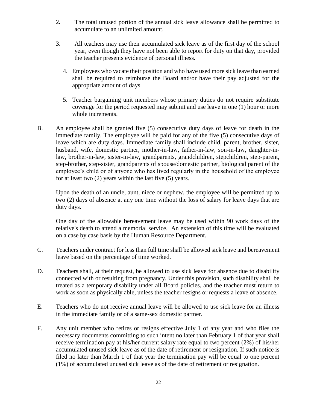- 2*.* The total unused portion of the annual sick leave allowance shall be permitted to accumulate to an unlimited amount.
- 3. All teachers may use their accumulated sick leave as of the first day of the school year, even though they have not been able to report for duty on that day, provided the teacher presents evidence of personal illness.
	- 4. Employees who vacate their position and who have used more sick leave than earned shall be required to reimburse the Board and/or have their pay adjusted for the appropriate amount of days.
	- 5. Teacher bargaining unit members whose primary duties do not require substitute coverage for the period requested may submit and use leave in one (1) hour or more whole increments.
- B. An employee shall be granted five (5) consecutive duty days of leave for death in the immediate family. The employee will be paid for any of the five (5) consecutive days of leave which are duty days. Immediate family shall include child, parent, brother, sister, husband, wife, domestic partner, mother-in-law, father-in-law, son-in-law, daughter-inlaw, brother-in-law, sister-in-law, grandparents, grandchildren, stepchildren, step-parent, step-brother, step-sister, grandparents of spouse/domestic partner, biological parent of the employee's child or of anyone who has lived regularly in the household of the employee for at least two (2) years within the last five (5) years.

Upon the death of an uncle, aunt, niece or nephew, the employee will be permitted up to two (2) days of absence at any one time without the loss of salary for leave days that are duty days.

One day of the allowable bereavement leave may be used within 90 work days of the relative's death to attend a memorial service. An extension of this time will be evaluated on a case by case basis by the Human Resource Department.

- C. Teachers under contract for less than full time shall be allowed sick leave and bereavement leave based on the percentage of time worked.
- D. Teachers shall, at their request, be allowed to use sick leave for absence due to disability connected with or resulting from pregnancy. Under this provision, such disability shall be treated as a temporary disability under all Board policies, and the teacher must return to work as soon as physically able, unless the teacher resigns or requests a leave of absence.
- E. Teachers who do not receive annual leave will be allowed to use sick leave for an illness in the immediate family or of a same-sex domestic partner.
- F. Any unit member who retires or resigns effective July 1 of any year and who files the necessary documents committing to such intent no later than February 1 of that year shall receive termination pay at his/her current salary rate equal to two percent (2%) of his/her accumulated unused sick leave as of the date of retirement or resignation. If such notice is filed no later than March 1 of that year the termination pay will be equal to one percent (1%) of accumulated unused sick leave as of the date of retirement or resignation.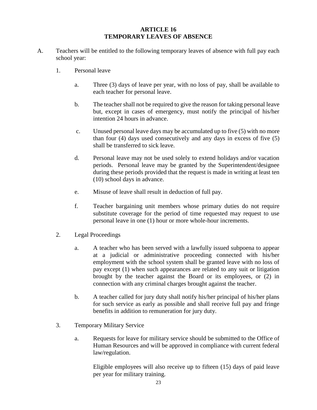#### **ARTICLE 16 TEMPORARY LEAVES OF ABSENCE**

- A. Teachers will be entitled to the following temporary leaves of absence with full pay each school year:
	- 1. Personal leave
		- a. Three (3) days of leave per year, with no loss of pay, shall be available to each teacher for personal leave.
		- b. The teacher shall not be required to give the reason for taking personal leave but, except in cases of emergency, must notify the principal of his/her intention 24 hours in advance.
		- c. Unused personal leave days may be accumulated up to five (5) with no more than four (4) days used consecutively and any days in excess of five (5) shall be transferred to sick leave.
		- d. Personal leave may not be used solely to extend holidays and/or vacation periods. Personal leave may be granted by the Superintendent/designee during these periods provided that the request is made in writing at least ten (10) school days in advance.
		- e. Misuse of leave shall result in deduction of full pay.
		- f. Teacher bargaining unit members whose primary duties do not require substitute coverage for the period of time requested may request to use personal leave in one (1) hour or more whole-hour increments.
	- 2. Legal Proceedings
		- a. A teacher who has been served with a lawfully issued subpoena to appear at a judicial or administrative proceeding connected with his/her employment with the school system shall be granted leave with no loss of pay except (1) when such appearances are related to any suit or litigation brought by the teacher against the Board or its employees, or (2) in connection with any criminal charges brought against the teacher.
		- b. A teacher called for jury duty shall notify his/her principal of his/her plans for such service as early as possible and shall receive full pay and fringe benefits in addition to remuneration for jury duty.
	- 3. Temporary Military Service
		- a. Requests for leave for military service should be submitted to the Office of Human Resources and will be approved in compliance with current federal law/regulation.

Eligible employees will also receive up to fifteen (15) days of paid leave per year for military training.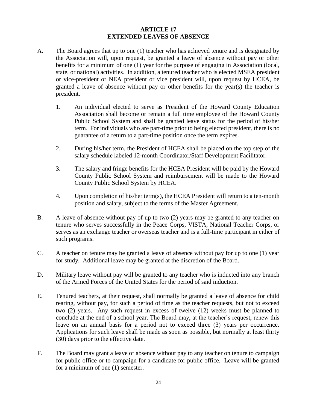#### **ARTICLE 17 EXTENDED LEAVES OF ABSENCE**

- A. The Board agrees that up to one (1) teacher who has achieved tenure and is designated by the Association will, upon request, be granted a leave of absence without pay or other benefits for a minimum of one (1) year for the purpose of engaging in Association (local, state, or national) activities. In addition, a tenured teacher who is elected MSEA president or vice-president or NEA president or vice president will, upon request by HCEA, be granted a leave of absence without pay or other benefits for the year(s) the teacher is president.
	- 1. An individual elected to serve as President of the Howard County Education Association shall become or remain a full time employee of the Howard County Public School System and shall be granted leave status for the period of his/her term. For individuals who are part-time prior to being elected president, there is no guarantee of a return to a part-time position once the term expires.
	- 2. During his/her term, the President of HCEA shall be placed on the top step of the salary schedule labeled 12-month Coordinator/Staff Development Facilitator.
	- 3. The salary and fringe benefits for the HCEA President will be paid by the Howard County Public School System and reimbursement will be made to the Howard County Public School System by HCEA.
	- 4. Upon completion of his/her term(s), the HCEA President will return to a ten-month position and salary, subject to the terms of the Master Agreement.
- B. A leave of absence without pay of up to two (2) years may be granted to any teacher on tenure who serves successfully in the Peace Corps, VISTA, National Teacher Corps, or serves as an exchange teacher or overseas teacher and is a full-time participant in either of such programs.
- C. A teacher on tenure may be granted a leave of absence without pay for up to one (1) year for study. Additional leave may be granted at the discretion of the Board.
- D. Military leave without pay will be granted to any teacher who is inducted into any branch of the Armed Forces of the United States for the period of said induction.
- E. Tenured teachers, at their request, shall normally be granted a leave of absence for child rearing, without pay, for such a period of time as the teacher requests, but not to exceed two (2) years. Any such request in excess of twelve (12) weeks must be planned to conclude at the end of a school year. The Board may, at the teacher's request, renew this leave on an annual basis for a period not to exceed three (3) years per occurrence. Applications for such leave shall be made as soon as possible, but normally at least thirty (30) days prior to the effective date.
- F. The Board may grant a leave of absence without pay to any teacher on tenure to campaign for public office or to campaign for a candidate for public office. Leave will be granted for a minimum of one (1) semester.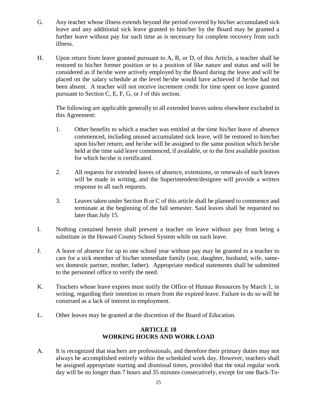- G. Any teacher whose illness extends beyond the period covered by his/her accumulated sick leave and any additional sick leave granted to him/her by the Board may be granted a further leave without pay for such time as is necessary for complete recovery from such illness.
- H. Upon return from leave granted pursuant to A, B, or D, of this Article, a teacher shall be restored to his/her former position or to a position of like nature and status and will be considered as if he/she were actively employed by the Board during the leave and will be placed on the salary schedule at the level he/she would have achieved if he/she had not been absent. A teacher will not receive increment credit for time spent on leave granted pursuant to Section C, E, F, G, or J of this section.

The following are applicable generally to all extended leaves unless elsewhere excluded in this Agreement:

- 1. Other benefits to which a teacher was entitled at the time his/her leave of absence commenced, including unused accumulated sick leave, will be restored to him/her upon his/her return; and he/she will be assigned to the same position which he/she held at the time said leave commenced, if available, or to the first available position for which he/she is certificated.
- 2. All requests for extended leaves of absence, extensions, or renewals of such leaves will be made in writing, and the Superintendent/designee will provide a written response to all such requests.
- 3. Leaves taken under Section B or C of this article shall be planned to commence and terminate at the beginning of the fall semester. Said leaves shall be requested no later than July 15.
- I. Nothing contained herein shall prevent a teacher on leave without pay from being a substitute in the Howard County School System while on such leave.
- J. A leave of absence for up to one school year without pay may be granted to a teacher to care for a sick member of his/her immediate family (son, daughter, husband, wife, samesex domestic partner, mother, father). Appropriate medical statements shall be submitted to the personnel office to verify the need.
- K. Teachers whose leave expires must notify the Office of Human Resources by March 1, in writing, regarding their intention to return from the expired leave. Failure to do so will be construed as a lack of interest in employment.
- L. Other leaves may be granted at the discretion of the Board of Education.

### **ARTICLE 18 WORKING HOURS AND WORK LOAD**

A. It is recognized that teachers are professionals, and therefore their primary duties may not always be accomplished entirely within the scheduled work day. However, teachers shall be assigned appropriate starting and dismissal times, provided that the total regular work day will be no longer than 7 hours and 35 minutes consecutively, except for one Back-To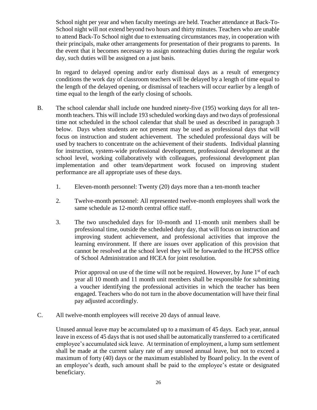School night per year and when faculty meetings are held. Teacher attendance at Back-To-School night will not extend beyond two hours and thirty minutes. Teachers who are unable to attend Back-To School night due to extenuating circumstances may, in cooperation with their principals, make other arrangements for presentation of their programs to parents. In the event that it becomes necessary to assign nonteaching duties during the regular work day, such duties will be assigned on a just basis.

In regard to delayed opening and/or early dismissal days as a result of emergency conditions the work day of classroom teachers will be delayed by a length of time equal to the length of the delayed opening, or dismissal of teachers will occur earlier by a length of time equal to the length of the early closing of schools.

- B. The school calendar shall include one hundred ninety-five (195) working days for all tenmonth teachers. This will include 193 scheduled working days and two days of professional time not scheduled in the school calendar that shall be used as described in paragraph 3 below. Days when students are not present may be used as professional days that will focus on instruction and student achievement. The scheduled professional days will be used by teachers to concentrate on the achievement of their students. Individual planning for instruction, system-wide professional development, professional development at the school level, working collaboratively with colleagues, professional development plan implementation and other team/department work focused on improving student performance are all appropriate uses of these days.
	- 1. Eleven-month personnel: Twenty (20) days more than a ten-month teacher
	- 2. Twelve-month personnel: All represented twelve-month employees shall work the same schedule as 12-month central office staff.
	- 3. The two unscheduled days for 10-month and 11-month unit members shall be professional time, outside the scheduled duty day, that will focus on instruction and improving student achievement, and professional activities that improve the learning environment. If there are issues over application of this provision that cannot be resolved at the school level they will be forwarded to the HCPSS office of School Administration and HCEA for joint resolution.

Prior approval on use of the time will not be required. However, by June  $1<sup>st</sup>$  of each year all 10 month and 11 month unit members shall be responsible for submitting a voucher identifying the professional activities in which the teacher has been engaged. Teachers who do not turn in the above documentation will have their final pay adjusted accordingly.

C. All twelve-month employees will receive 20 days of annual leave.

Unused annual leave may be accumulated up to a maximum of 45 days. Each year, annual leave in excess of 45 days that is not used shall be automatically transferred to a certificated employee's accumulated sick leave. At termination of employment, a lump sum settlement shall be made at the current salary rate of any unused annual leave, but not to exceed a maximum of forty (40) days or the maximum established by Board policy. In the event of an employee's death, such amount shall be paid to the employee's estate or designated beneficiary.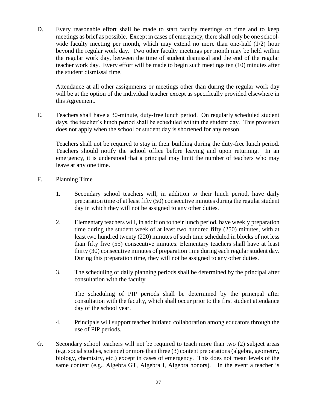D. Every reasonable effort shall be made to start faculty meetings on time and to keep meetings as brief as possible. Except in cases of emergency, there shall only be one schoolwide faculty meeting per month, which may extend no more than one-half (1/2) hour beyond the regular work day. Two other faculty meetings per month may be held within the regular work day, between the time of student dismissal and the end of the regular teacher work day. Every effort will be made to begin such meetings ten (10) minutes after the student dismissal time.

Attendance at all other assignments or meetings other than during the regular work day will be at the option of the individual teacher except as specifically provided elsewhere in this Agreement.

E. Teachers shall have a 30-minute, duty-free lunch period. On regularly scheduled student days, the teacher's lunch period shall be scheduled within the student day. This provision does not apply when the school or student day is shortened for any reason.

Teachers shall not be required to stay in their building during the duty-free lunch period. Teachers should notify the school office before leaving and upon returning. In an emergency, it is understood that a principal may limit the number of teachers who may leave at any one time.

- F. Planning Time
	- 1*.* Secondary school teachers will, in addition to their lunch period, have daily preparation time of at least fifty (50) consecutive minutes during the regular student day in which they will not be assigned to any other duties.
	- 2. Elementary teachers will, in addition to their lunch period, have weekly preparation time during the student week of at least two hundred fifty (250) minutes, with at least two hundred twenty (220) minutes of such time scheduled in blocks of not less than fifty five (55) consecutive minutes. Elementary teachers shall have at least thirty (30) consecutive minutes of preparation time during each regular student day. During this preparation time, they will not be assigned to any other duties.
	- 3. The scheduling of daily planning periods shall be determined by the principal after consultation with the faculty.

The scheduling of PIP periods shall be determined by the principal after consultation with the faculty, which shall occur prior to the first student attendance day of the school year.

- 4. Principals will support teacher initiated collaboration among educators through the use of PIP periods.
- G. Secondary school teachers will not be required to teach more than two (2) subject areas (e.g. social studies, science) or more than three (3) content preparations (algebra, geometry, biology, chemistry, etc.) except in cases of emergency. This does not mean levels of the same content (e.g., Algebra GT, Algebra I, Algebra honors). In the event a teacher is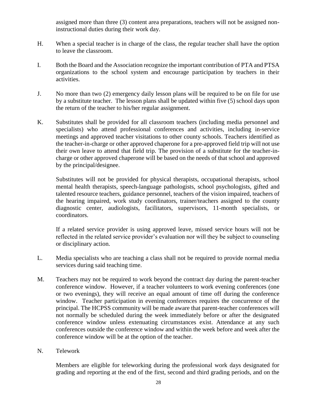assigned more than three (3) content area preparations, teachers will not be assigned noninstructional duties during their work day.

- H. When a special teacher is in charge of the class, the regular teacher shall have the option to leave the classroom.
- I. Both the Board and the Association recognize the important contribution of PTA and PTSA organizations to the school system and encourage participation by teachers in their activities.
- J. No more than two (2) emergency daily lesson plans will be required to be on file for use by a substitute teacher. The lesson plans shall be updated within five (5) school days upon the return of the teacher to his/her regular assignment.
- K. Substitutes shall be provided for all classroom teachers (including media personnel and specialists) who attend professional conferences and activities, including in-service meetings and approved teacher visitations to other county schools. Teachers identified as the teacher-in-charge or other approved chaperone for a pre-approved field trip will not use their own leave to attend that field trip. The provision of a substitute for the teacher-incharge or other approved chaperone will be based on the needs of that school and approved by the principal/designee.

Substitutes will not be provided for physical therapists, occupational therapists, school mental health therapists, speech-language pathologists, school psychologists, gifted and talented resource teachers, guidance personnel, teachers of the vision impaired, teachers of the hearing impaired, work study coordinators, trainer/teachers assigned to the county diagnostic center, audiologists, facilitators, supervisors, 11-month specialists, or coordinators.

If a related service provider is using approved leave, missed service hours will not be reflected in the related service provider's evaluation nor will they be subject to counseling or disciplinary action.

- L. Media specialists who are teaching a class shall not be required to provide normal media services during said teaching time.
- M. Teachers may not be required to work beyond the contract day during the parent-teacher conference window. However, if a teacher volunteers to work evening conferences (one or two evenings), they will receive an equal amount of time off during the conference window. Teacher participation in evening conferences requires the concurrence of the principal. The HCPSS community will be made aware that parent-teacher conferences will not normally be scheduled during the week immediately before or after the designated conference window unless extenuating circumstances exist. Attendance at any such conferences outside the conference window and within the week before and week after the conference window will be at the option of the teacher.
- N. Telework

Members are eligible for teleworking during the professional work days designated for grading and reporting at the end of the first, second and third grading periods, and on the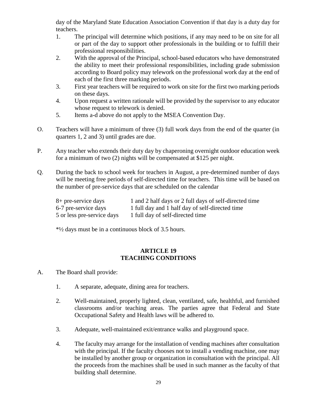day of the Maryland State Education Association Convention if that day is a duty day for teachers.

- 1. The principal will determine which positions, if any may need to be on site for all or part of the day to support other professionals in the building or to fulfill their professional responsibilities.
- 2. With the approval of the Principal, school-based educators who have demonstrated the ability to meet their professional responsibilities, including grade submission according to Board policy may telework on the professional work day at the end of each of the first three marking periods.
- 3. First year teachers will be required to work on site for the first two marking periods on these days.
- 4. Upon request a written rationale will be provided by the supervisor to any educator whose request to telework is denied.
- 5. Items a-d above do not apply to the MSEA Convention Day.
- O. Teachers will have a minimum of three (3) full work days from the end of the quarter (in quarters 1, 2 and 3) until grades are due.
- P. Any teacher who extends their duty day by chaperoning overnight outdoor education week for a minimum of two (2) nights will be compensated at \$125 per night.
- Q. During the back to school week for teachers in August, a pre-determined number of days will be meeting free periods of self-directed time for teachers. This time will be based on the number of pre-service days that are scheduled on the calendar

| 8+ pre-service days        | 1 and 2 half days or 2 full days of self-directed time |
|----------------------------|--------------------------------------------------------|
| 6-7 pre-service days       | 1 full day and 1 half day of self-directed time        |
| 5 or less pre-service days | 1 full day of self-directed time                       |

\*½ days must be in a continuous block of 3.5 hours.

#### **ARTICLE 19 TEACHING CONDITIONS**

- A. The Board shall provide:
	- 1. A separate, adequate, dining area for teachers.
	- 2. Well-maintained, properly lighted, clean, ventilated, safe, healthful, and furnished classrooms and/or teaching areas. The parties agree that Federal and State Occupational Safety and Health laws will be adhered to.
	- 3. Adequate, well-maintained exit/entrance walks and playground space.
	- 4. The faculty may arrange for the installation of vending machines after consultation with the principal. If the faculty chooses not to install a vending machine, one may be installed by another group or organization in consultation with the principal. All the proceeds from the machines shall be used in such manner as the faculty of that building shall determine.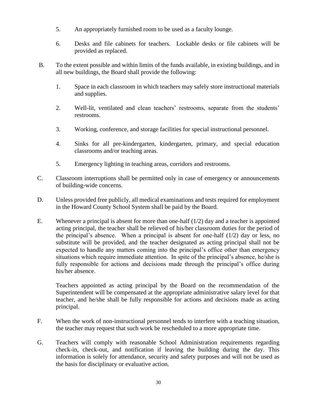- 5. An appropriately furnished room to be used as a faculty lounge.
- 6. Desks and file cabinets for teachers. Lockable desks or file cabinets will be provided as replaced.
- B. To the extent possible and within limits of the funds available, in existing buildings, and in all new buildings, the Board shall provide the following:
	- 1. Space in each classroom in which teachers may safely store instructional materials and supplies.
	- 2. Well-lit, ventilated and clean teachers' restrooms, separate from the students' restrooms.
	- 3. Working, conference, and storage facilities for special instructional personnel.
	- 4. Sinks for all pre-kindergarten, kindergarten, primary, and special education classrooms and/or teaching areas.
	- 5. Emergency lighting in teaching areas, corridors and restrooms.
- C. Classroom interruptions shall be permitted only in case of emergency or announcements of building-wide concerns.
- D. Unless provided free publicly, all medical examinations and tests required for employment in the Howard County School System shall be paid by the Board.
- E. Whenever a principal is absent for more than one-half  $(1/2)$  day and a teacher is appointed acting principal, the teacher shall be relieved of his/her classroom duties for the period of the principal's absence. When a principal is absent for one-half  $(1/2)$  day or less, no substitute will be provided, and the teacher designated as acting principal shall not be expected to handle any matters coming into the principal's office other than emergency situations which require immediate attention. In spite of the principal's absence, he/she is fully responsible for actions and decisions made through the principal's office during his/her absence.

Teachers appointed as acting principal by the Board on the recommendation of the Superintendent will be compensated at the appropriate administrative salary level for that teacher, and he/she shall be fully responsible for actions and decisions made as acting principal.

- F. When the work of non-instructional personnel tends to interfere with a teaching situation, the teacher may request that such work be rescheduled to a more appropriate time.
- G. Teachers will comply with reasonable School Administration requirements regarding check-in, check-out, and notification if leaving the building during the day. This information is solely for attendance, security and safety purposes and will not be used as the basis for disciplinary or evaluative action.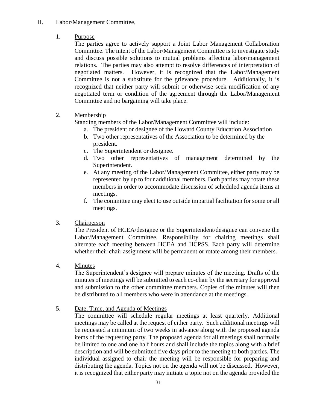- H. Labor/Management Committee,
	- 1. Purpose

The parties agree to actively support a Joint Labor Management Collaboration Committee. The intent of the Labor/Management Committee is to investigate study and discuss possible solutions to mutual problems affecting labor/management relations. The parties may also attempt to resolve differences of interpretation of negotiated matters. However, it is recognized that the Labor/Management Committee is not a substitute for the grievance procedure. Additionally, it is recognized that neither party will submit or otherwise seek modification of any negotiated term or condition of the agreement through the Labor/Management Committee and no bargaining will take place.

2. Membership

Standing members of the Labor/Management Committee will include:

- a. The president or designee of the Howard County Education Association
- b. Two other representatives of the Association to be determined by the president.
- c. The Superintendent or designee.
- d. Two other representatives of management determined by the Superintendent.
- e. At any meeting of the Labor/Management Committee, either party may be represented by up to four additional members. Both parties may rotate these members in order to accommodate discussion of scheduled agenda items at meetings.
- f. The committee may elect to use outside impartial facilitation for some or all meetings.
- 3. Chairperson

The President of HCEA/designee or the Superintendent/designee can convene the Labor/Management Committee. Responsibility for chairing meetings shall alternate each meeting between HCEA and HCPSS. Each party will determine whether their chair assignment will be permanent or rotate among their members.

4. Minutes

The Superintendent's designee will prepare minutes of the meeting. Drafts of the minutes of meetings will be submitted to each co-chair by the secretary for approval and submission to the other committee members. Copies of the minutes will then be distributed to all members who were in attendance at the meetings.

5. Date, Time, and Agenda of Meetings

The committee will schedule regular meetings at least quarterly. Additional meetings may be called at the request of either party. Such additional meetings will be requested a minimum of two weeks in advance along with the proposed agenda items of the requesting party. The proposed agenda for all meetings shall normally be limited to one and one half hours and shall include the topics along with a brief description and will be submitted five days prior to the meeting to both parties. The individual assigned to chair the meeting will be responsible for preparing and distributing the agenda. Topics not on the agenda will not be discussed. However, it is recognized that either party may initiate a topic not on the agenda provided the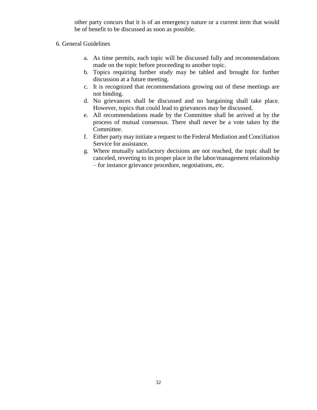other party concurs that it is of an emergency nature or a current item that would be of benefit to be discussed as soon as possible.

#### 6. General Guidelines

- a. As time permits, each topic will be discussed fully and recommendations made on the topic before proceeding to another topic.
- b. Topics requiring further study may be tabled and brought for further discussion at a future meeting.
- c. It is recognized that recommendations growing out of these meetings are not binding.
- d. No grievances shall be discussed and no bargaining shall take place. However, topics that could lead to grievances may be discussed.
- e. All recommendations made by the Committee shall be arrived at by the process of mutual consensus. There shall never be a vote taken by the Committee.
- f. Either party may initiate a request to the Federal Mediation and Conciliation Service for assistance.
- g. Where mutually satisfactory decisions are not reached, the topic shall be canceled, reverting to its proper place in the labor/management relationship – for instance grievance procedure, negotiations, etc.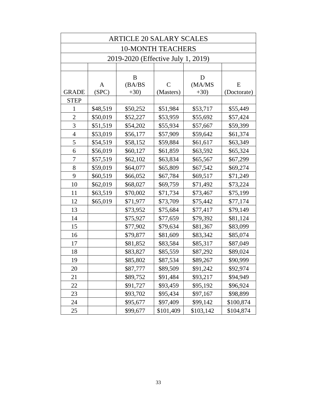|                | <b>ARTICLE 20 SALARY SCALES</b> |                                    |                |             |             |
|----------------|---------------------------------|------------------------------------|----------------|-------------|-------------|
|                | <b>10-MONTH TEACHERS</b>        |                                    |                |             |             |
|                |                                 | 2019-2020 (Effective July 1, 2019) |                |             |             |
|                |                                 |                                    |                |             |             |
|                | A                               | B<br>(BA/BS)                       | $\overline{C}$ | D<br>(MA/MS | E           |
| <b>GRADE</b>   | (SPC)                           | $+30)$                             | (Masters)      | $+30)$      | (Doctorate) |
| <b>STEP</b>    |                                 |                                    |                |             |             |
| 1              | \$48,519                        | \$50,252                           | \$51,984       | \$53,717    | \$55,449    |
| $\overline{2}$ | \$50,019                        | \$52,227                           | \$53,959       | \$55,692    | \$57,424    |
| $\overline{3}$ | \$51,519                        | \$54,202                           | \$55,934       | \$57,667    | \$59,399    |
| $\overline{4}$ | \$53,019                        | \$56,177                           | \$57,909       | \$59,642    | \$61,374    |
| 5              | \$54,519                        | \$58,152                           | \$59,884       | \$61,617    | \$63,349    |
| 6              | \$56,019                        | \$60,127                           | \$61,859       | \$63,592    | \$65,324    |
| 7              | \$57,519                        | \$62,102                           | \$63,834       | \$65,567    | \$67,299    |
| 8              | \$59,019                        | \$64,077                           | \$65,809       | \$67,542    | \$69,274    |
| 9              | \$60,519                        | \$66,052                           | \$67,784       | \$69,517    | \$71,249    |
| 10             | \$62,019                        | \$68,027                           | \$69,759       | \$71,492    | \$73,224    |
| 11             | \$63,519                        | \$70,002                           | \$71,734       | \$73,467    | \$75,199    |
| 12             | \$65,019                        | \$71,977                           | \$73,709       | \$75,442    | \$77,174    |
| 13             |                                 | \$73,952                           | \$75,684       | \$77,417    | \$79,149    |
| 14             |                                 | \$75,927                           | \$77,659       | \$79,392    | \$81,124    |
| 15             |                                 | \$77,902                           | \$79,634       | \$81,367    | \$83,099    |
| 16             |                                 | \$79,877                           | \$81,609       | \$83,342    | \$85,074    |
| 17             |                                 | \$81,852                           | \$83,584       | \$85,317    | \$87,049    |
| 18             |                                 | \$83,827                           | \$85,559       | \$87,292    | \$89,024    |
| 19             |                                 | \$85,802                           | \$87,534       | \$89,267    | \$90,999    |
| 20             |                                 | \$87,777                           | \$89,509       | \$91,242    | \$92,974    |
| 21             |                                 | \$89,752                           | \$91,484       | \$93,217    | \$94,949    |
| 22             |                                 | \$91,727                           | \$93,459       | \$95,192    | \$96,924    |
| 23             |                                 | \$93,702                           | \$95,434       | \$97,167    | \$98,899    |
| 24             |                                 | \$95,677                           | \$97,409       | \$99,142    | \$100,874   |
| 25             |                                 | \$99,677                           | \$101,409      | \$103,142   | \$104,874   |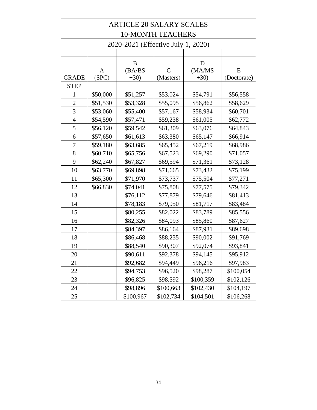|                | <b>ARTICLE 20 SALARY SCALES</b> |                                    |              |             |             |
|----------------|---------------------------------|------------------------------------|--------------|-------------|-------------|
|                |                                 | <b>10-MONTH TEACHERS</b>           |              |             |             |
|                |                                 | 2020-2021 (Effective July 1, 2020) |              |             |             |
|                |                                 |                                    |              |             |             |
|                | A                               | B<br>(BA/BS)                       | $\mathsf{C}$ | D<br>(MA/MS | E           |
| <b>GRADE</b>   | (SPC)                           | $+30)$                             | (Masters)    | $+30)$      | (Doctorate) |
| <b>STEP</b>    |                                 |                                    |              |             |             |
| 1              | \$50,000                        | \$51,257                           | \$53,024     | \$54,791    | \$56,558    |
| $\overline{2}$ | \$51,530                        | \$53,328                           | \$55,095     | \$56,862    | \$58,629    |
| 3              | \$53,060                        | \$55,400                           | \$57,167     | \$58,934    | \$60,701    |
| $\overline{4}$ | \$54,590                        | \$57,471                           | \$59,238     | \$61,005    | \$62,772    |
| 5              | \$56,120                        | \$59,542                           | \$61,309     | \$63,076    | \$64,843    |
| 6              | \$57,650                        | \$61,613                           | \$63,380     | \$65,147    | \$66,914    |
| 7              | \$59,180                        | \$63,685                           | \$65,452     | \$67,219    | \$68,986    |
| 8              | \$60,710                        | \$65,756                           | \$67,523     | \$69,290    | \$71,057    |
| 9              | \$62,240                        | \$67,827                           | \$69,594     | \$71,361    | \$73,128    |
| 10             | \$63,770                        | \$69,898                           | \$71,665     | \$73,432    | \$75,199    |
| 11             | \$65,300                        | \$71,970                           | \$73,737     | \$75,504    | \$77,271    |
| 12             | \$66,830                        | \$74,041                           | \$75,808     | \$77,575    | \$79,342    |
| 13             |                                 | \$76,112                           | \$77,879     | \$79,646    | \$81,413    |
| 14             |                                 | \$78,183                           | \$79,950     | \$81,717    | \$83,484    |
| 15             |                                 | \$80,255                           | \$82,022     | \$83,789    | \$85,556    |
| 16             |                                 | \$82,326                           | \$84,093     | \$85,860    | \$87,627    |
| 17             |                                 | \$84,397                           | \$86,164     | \$87,931    | \$89,698    |
| 18             |                                 | \$86,468                           | \$88,235     | \$90,002    | \$91,769    |
| 19             |                                 | \$88,540                           | \$90,307     | \$92,074    | \$93,841    |
| 20             |                                 | \$90,611                           | \$92,378     | \$94,145    | \$95,912    |
| 21             |                                 | \$92,682                           | \$94,449     | \$96,216    | \$97,983    |
| 22             |                                 | \$94,753                           | \$96,520     | \$98,287    | \$100,054   |
| 23             |                                 | \$96,825                           | \$98,592     | \$100,359   | \$102,126   |
| 24             |                                 | \$98,896                           | \$100,663    | \$102,430   | \$104,197   |
| 25             |                                 | \$100,967                          | \$102,734    | \$104,501   | \$106,268   |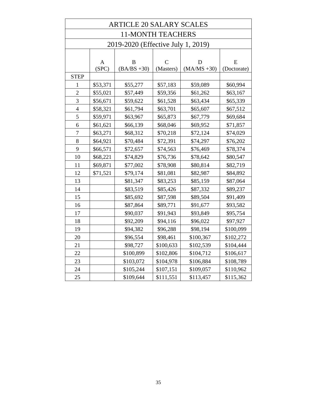| <b>ARTICLE 20 SALARY SCALES</b> |          |                                    |               |                |             |
|---------------------------------|----------|------------------------------------|---------------|----------------|-------------|
|                                 |          | <b>11-MONTH TEACHERS</b>           |               |                |             |
|                                 |          | 2019-2020 (Effective July 1, 2019) |               |                |             |
|                                 |          |                                    |               |                |             |
|                                 | A        | $\mathbf B$                        | $\mathcal{C}$ | D              | E           |
|                                 | (SPC)    | $(BA/BS + 30)$                     | (Masters)     | $(MA/MS + 30)$ | (Doctorate) |
| <b>STEP</b>                     |          |                                    |               |                |             |
| 1                               | \$53,371 | \$55,277                           | \$57,183      | \$59,089       | \$60,994    |
| $\overline{c}$                  | \$55,021 | \$57,449                           | \$59,356      | \$61,262       | \$63,167    |
| 3                               | \$56,671 | \$59,622                           | \$61,528      | \$63,434       | \$65,339    |
| $\overline{4}$                  | \$58,321 | \$61,794                           | \$63,701      | \$65,607       | \$67,512    |
| 5                               | \$59,971 | \$63,967                           | \$65,873      | \$67,779       | \$69,684    |
| 6                               | \$61,621 | \$66,139                           | \$68,046      | \$69,952       | \$71,857    |
| $\overline{7}$                  | \$63,271 | \$68,312                           | \$70,218      | \$72,124       | \$74,029    |
| 8                               | \$64,921 | \$70,484                           | \$72,391      | \$74,297       | \$76,202    |
| 9                               | \$66,571 | \$72,657                           | \$74,563      | \$76,469       | \$78,374    |
| 10                              | \$68,221 | \$74,829                           | \$76,736      | \$78,642       | \$80,547    |
| 11                              | \$69,871 | \$77,002                           | \$78,908      | \$80,814       | \$82,719    |
| 12                              | \$71,521 | \$79,174                           | \$81,081      | \$82,987       | \$84,892    |
| 13                              |          | \$81,347                           | \$83,253      | \$85,159       | \$87,064    |
| 14                              |          | \$83,519                           | \$85,426      | \$87,332       | \$89,237    |
| 15                              |          | \$85,692                           | \$87,598      | \$89,504       | \$91,409    |
| 16                              |          | \$87,864                           | \$89,771      | \$91,677       | \$93,582    |
| 17                              |          | \$90,037                           | \$91,943      | \$93,849       | \$95,754    |
| 18                              |          | \$92,209                           | \$94,116      | \$96,022       | \$97,927    |
| 19                              |          | \$94,382                           | \$96,288      | \$98,194       | \$100,099   |
| 20                              |          | \$96,554                           | \$98,461      | \$100,367      | \$102,272   |
| 21                              |          | \$98,727                           | \$100,633     | \$102,539      | \$104,444   |
| 22                              |          | \$100,899                          | \$102,806     | \$104,712      | \$106,617   |
| 23                              |          | \$103,072                          | \$104,978     | \$106,884      | \$108,789   |
| 24                              |          | \$105,244                          | \$107,151     | \$109,057      | \$110,962   |
| 25                              |          | \$109,644                          | \$111,551     | \$113,457      | \$115,362   |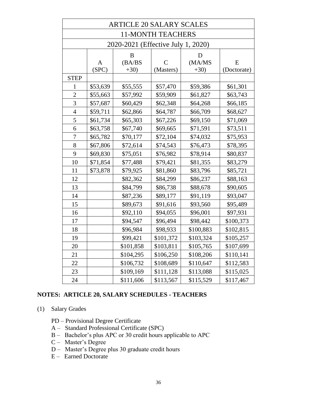|                | <b>ARTICLE 20 SALARY SCALES</b> |                                    |                          |           |             |
|----------------|---------------------------------|------------------------------------|--------------------------|-----------|-------------|
|                |                                 |                                    | <b>11-MONTH TEACHERS</b> |           |             |
|                |                                 | 2020-2021 (Effective July 1, 2020) |                          |           |             |
|                |                                 | B                                  |                          | D         |             |
|                | A                               | (BA/BS)                            | $\mathcal{C}$            | (MA/MS    | E           |
|                | (SPC)                           | $+30)$                             | (Masters)                | $+30)$    | (Doctorate) |
| <b>STEP</b>    |                                 |                                    |                          |           |             |
| 1              | \$53,639                        | \$55,555                           | \$57,470                 | \$59,386  | \$61,301    |
| $\overline{2}$ | \$55,663                        | \$57,992                           | \$59,909                 | \$61,827  | \$63,743    |
| $\overline{3}$ | \$57,687                        | \$60,429                           | \$62,348                 | \$64,268  | \$66,185    |
| $\overline{4}$ | \$59,711                        | \$62,866                           | \$64,787                 | \$66,709  | \$68,627    |
| 5              | \$61,734                        | \$65,303                           | \$67,226                 | \$69,150  | \$71,069    |
| 6              | \$63,758                        | \$67,740                           | \$69,665                 | \$71,591  | \$73,511    |
| $\overline{7}$ | \$65,782                        | \$70,177                           | \$72,104                 | \$74,032  | \$75,953    |
| 8              | \$67,806                        | \$72,614                           | \$74,543                 | \$76,473  | \$78,395    |
| 9              | \$69,830                        | \$75,051                           | \$76,982                 | \$78,914  | \$80,837    |
| 10             | \$71,854                        | \$77,488                           | \$79,421                 | \$81,355  | \$83,279    |
| 11             | \$73,878                        | \$79,925                           | \$81,860                 | \$83,796  | \$85,721    |
| 12             |                                 | \$82,362                           | \$84,299                 | \$86,237  | \$88,163    |
| 13             |                                 | \$84,799                           | \$86,738                 | \$88,678  | \$90,605    |
| 14             |                                 | \$87,236                           | \$89,177                 | \$91,119  | \$93,047    |
| 15             |                                 | \$89,673                           | \$91,616                 | \$93,560  | \$95,489    |
| 16             |                                 | \$92,110                           | \$94,055                 | \$96,001  | \$97,931    |
| 17             |                                 | \$94,547                           | \$96,494                 | \$98,442  | \$100,373   |
| 18             |                                 | \$96,984                           | \$98,933                 | \$100,883 | \$102,815   |
| 19             |                                 | \$99,421                           | \$101,372                | \$103,324 | \$105,257   |
| 20             |                                 | \$101,858                          | \$103,811                | \$105,765 | \$107,699   |
| 21             |                                 | \$104,295                          | \$106,250                | \$108,206 | \$110,141   |
| 22             |                                 | \$106,732                          | \$108,689                | \$110,647 | \$112,583   |
| 23             |                                 | \$109,169                          | \$111,128                | \$113,088 | \$115,025   |
| 24             |                                 | \$111,606                          | \$113,567                | \$115,529 | \$117,467   |

#### **NOTES: ARTICLE 20, SALARY SCHEDULES - TEACHERS**

(1) Salary Grades

PD – Provisional Degree Certificate

- A Standard Professional Certificate (SPC)
- B Bachelor's plus APC or 30 credit hours applicable to APC
- C Master's Degree
- D Master's Degree plus 30 graduate credit hours
- E Earned Doctorate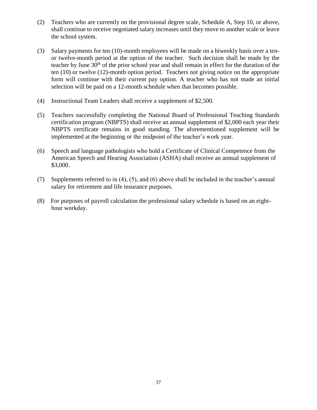- (2) Teachers who are currently on the provisional degree scale, Schedule A, Step 10, or above, shall continue to receive negotiated salary increases until they move to another scale or leave the school system.
- (3) Salary payments for ten (10)-month employees will be made on a biweekly basis over a tenor twelve-month period at the option of the teacher. Such decision shall be made by the teacher by June  $30<sup>th</sup>$  of the prior school year and shall remain in effect for the duration of the ten (10) or twelve (12)-month option period. Teachers not giving notice on the appropriate form will continue with their current pay option. A teacher who has not made an initial selection will be paid on a 12-month schedule when that becomes possible.
- (4) Instructional Team Leaders shall receive a supplement of \$2,500.
- (5) Teachers successfully completing the National Board of Professional Teaching Standards certification program (NBPTS) shall receive an annual supplement of \$2,000 each year their NBPTS certificate remains in good standing. The aforementioned supplement will be implemented at the beginning or the midpoint of the teacher's work year.
- (6) Speech and language pathologists who hold a Certificate of Clinical Competence from the American Speech and Hearing Association (ASHA) shall receive an annual supplement of \$3,000.
- (7) Supplements referred to in (4), (5), and (6) above shall be included in the teacher's annual salary for retirement and life insurance purposes.
- (8) For purposes of payroll calculation the professional salary schedule is based on an eighthour workday.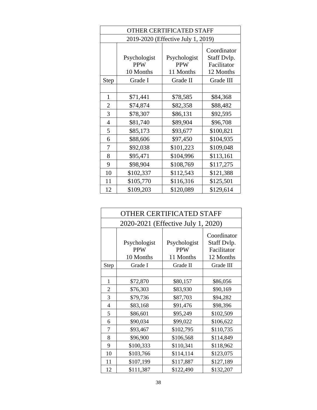|                | <b>OTHER CERTIFICATED STAFF</b>         |                                         |                                                        |  |
|----------------|-----------------------------------------|-----------------------------------------|--------------------------------------------------------|--|
|                |                                         | 2019-2020 (Effective July 1, 2019)      |                                                        |  |
|                | Psychologist<br><b>PPW</b><br>10 Months | Psychologist<br><b>PPW</b><br>11 Months | Coordinator<br>Staff Dvlp.<br>Facilitator<br>12 Months |  |
| <b>Step</b>    | Grade I                                 | Grade II                                | Grade III                                              |  |
|                |                                         |                                         |                                                        |  |
| 1              | \$71,441                                | \$78,585                                | \$84,368                                               |  |
| $\overline{2}$ | \$74,874                                | \$82,358                                | \$88,482                                               |  |
| 3              | \$78,307                                | \$86,131                                | \$92,595                                               |  |
| $\overline{4}$ | \$81,740                                | \$89,904                                | \$96,708                                               |  |
| 5              | \$85,173                                | \$93,677                                | \$100,821                                              |  |
| 6              | \$88,606                                | \$97,450                                | \$104,935                                              |  |
| 7              | \$92,038                                | \$101,223                               | \$109,048                                              |  |
| 8              | \$95,471                                | \$104,996                               | \$113,161                                              |  |
| 9              | \$98,904                                | \$108,769                               | \$117,275                                              |  |
| 10             | \$102,337                               | \$112,543                               | \$121,388                                              |  |
| 11             | \$105,770                               | \$116,316                               | \$125,501                                              |  |
| 12             | \$109,203                               | \$120,089                               | \$129,614                                              |  |

|                | <b>OTHER CERTIFICATED STAFF</b>         |                                         |                                                        |  |
|----------------|-----------------------------------------|-----------------------------------------|--------------------------------------------------------|--|
|                | 2020-2021 (Effective July 1, 2020)      |                                         |                                                        |  |
|                | Psychologist<br><b>PPW</b><br>10 Months | Psychologist<br><b>PPW</b><br>11 Months | Coordinator<br>Staff Dvlp.<br>Facilitator<br>12 Months |  |
| Step           | Grade I                                 | Grade II                                | Grade III                                              |  |
|                |                                         |                                         |                                                        |  |
| 1              | \$72,870                                | \$80,157                                | \$86,056                                               |  |
| $\overline{2}$ | \$76,303                                | \$83,930                                | \$90,169                                               |  |
| 3              | \$79,736                                | \$87,703                                | \$94,282                                               |  |
| 4              | \$83,168                                | \$91,476                                | \$98,396                                               |  |
| 5              | \$86,601                                | \$95,249                                | \$102,509                                              |  |
| 6              | \$90,034                                | \$99,022                                | \$106,622                                              |  |
| 7              | \$93,467                                | \$102,795                               | \$110,735                                              |  |
| 8              | \$96,900                                | \$106,568                               | \$114,849                                              |  |
| 9              | \$100,333                               | \$110,341                               | \$118,962                                              |  |
| 10             | \$103,766                               | \$114,114                               | \$123,075                                              |  |
| 11             | \$107,199                               | \$117,887                               | \$127,189                                              |  |
| 12             | \$111,387                               | \$122,490                               | \$132,207                                              |  |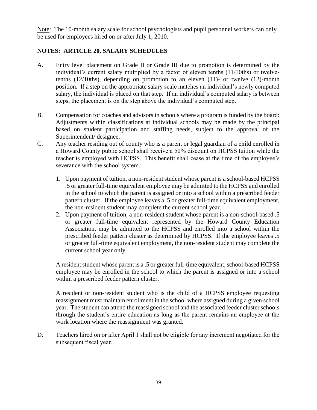Note: The 10-month salary scale for school psychologists and pupil personnel workers can only be used for employees hired on or after July 1, 2010.

### **NOTES: ARTICLE 20, SALARY SCHEDULES**

- A. Entry level placement on Grade II or Grade III due to promotion is determined by the individual's current salary multiplied by a factor of eleven tenths (11/10ths) or twelvetenths (12/10ths), depending on promotion to an eleven (11)- or twelve (12)-month position. If a step on the appropriate salary scale matches an individual's newly computed salary, the individual is placed on that step. If an individual's computed salary is between steps, the placement is on the step above the individual's computed step.
- B. Compensation for coaches and advisors in schools where a program is funded by the board: Adjustments within classifications at individual schools may be made by the principal based on student participation and staffing needs, subject to the approval of the Superintendent/ designee.
- C. Any teacher residing out of county who is a parent or legal guardian of a child enrolled in a Howard County public school shall receive a 50% discount on HCPSS tuition while the teacher is employed with HCPSS. This benefit shall cease at the time of the employee's severance with the school system.
	- 1. Upon payment of tuition, a non-resident student whose parent is a school-based HCPSS .5 or greater full-time equivalent employee may be admitted to the HCPSS and enrolled in the school to which the parent is assigned or into a school within a prescribed feeder pattern cluster. If the employee leaves a .5 or greater full-time equivalent employment, the non-resident student may complete the current school year.
	- 2. Upon payment of tuition, a non-resident student whose parent is a non-school-based .5 or greater full-time equivalent represented by the Howard County Education Association, may be admitted to the HCPSS and enrolled into a school within the prescribed feeder pattern cluster as determined by HCPSS. If the employee leaves .5 or greater full-time equivalent employment, the non-resident student may complete the current school year only.

A resident student whose parent is a .5 or greater full-time equivalent, school-based HCPSS employee may be enrolled in the school to which the parent is assigned or into a school within a prescribed feeder pattern cluster.

A resident or non-resident student who is the child of a HCPSS employee requesting reassignment must maintain enrollment in the school where assigned during a given school year. The student can attend the reassigned school and the associated feeder cluster schools through the student's entire education as long as the parent remains an employee at the work location where the reassignment was granted.

D. Teachers hired on or after April 1 shall not be eligible for any increment negotiated for the subsequent fiscal year.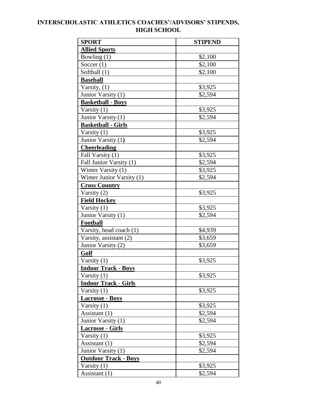## **INTERSCHOLASTIC ATHLETICS COACHES'/ADVISORS' STIPENDS, HIGH SCHOOL**

| <b>SPORT</b>                | <b>STIPEND</b> |
|-----------------------------|----------------|
| <b>Allied Sports</b>        |                |
| Bowling $(1)$               | \$2,100        |
| Soccer $(1)$                | \$2,100        |
| Softball (1)                | \$2,100        |
| <b>Baseball</b>             |                |
| Varsity, (1)                | \$3,925        |
| Junior Varsity (1)          | \$2,594        |
| <b>Basketball - Boys</b>    |                |
| Varsity $(1)$               | \$3,925        |
| Junior Varsity (1)          | \$2,594        |
| <b>Basketball - Girls</b>   |                |
| Varsity (1)                 | \$3,925        |
| Junior Varsity (1)          | \$2,594        |
| <b>Cheerleading</b>         |                |
| Fall Varsity (1)            | \$3,925        |
| Fall Junior Varsity (1)     | \$2,594        |
| Winter Varsity (1)          | \$3,925        |
| Winter Junior Varsity (1)   | \$2,594        |
| <b>Cross Country</b>        |                |
| Varsity (2)                 | \$3,925        |
| <b>Field Hockey</b>         |                |
| Varsity $(1)$               | \$3,925        |
| Junior Varsity (1)          | \$2,594        |
| Football                    |                |
| Varsity, head coach (1)     | \$4,939        |
| Varsity, assistant (2)      | \$3,659        |
| Junior Varsity (2)          | \$3,659        |
| Golf                        |                |
| Varsity (1)                 | \$3,925        |
| <b>Indoor Track - Boys</b>  |                |
| Varsity $(1)$               | \$3,925        |
| <b>Indoor Track - Girls</b> |                |
| Varsity $(1)$               | \$3,925        |
| <b>Lacrosse - Boys</b>      |                |
| Varsity (1)                 | \$3,925        |
| Assistant (1)               | \$2,594        |
| Junior Varsity (1)          | \$2,594        |
| <b>Lacrosse - Girls</b>     |                |
| Varsity (1)                 | \$3,925        |
| Assistant (1)               | \$2,594        |
| Junior Varsity (1)          | \$2,594        |
| <b>Outdoor Track - Boys</b> |                |
| Varsity $(1)$               | \$3,925        |
| Assistant (1)               | \$2,594        |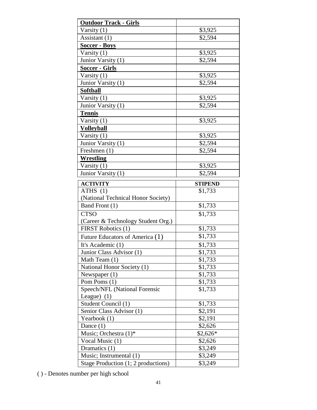| <b>Outdoor Track - Girls</b>                                   |                    |
|----------------------------------------------------------------|--------------------|
| Varsity (1)                                                    | \$3,925            |
| Assistant (1)                                                  | \$2,594            |
| <b>Soccer - Boys</b>                                           |                    |
| Varsity (1)                                                    | \$3,925            |
| Junior Varsity (1)                                             | \$2,594            |
| <u>Soccer - Girls</u>                                          |                    |
| Varsity $(1)$                                                  | \$3,925            |
| Junior Varsity (1)                                             | \$2,594            |
| <b>Softball</b>                                                |                    |
| Varsity $(1)$                                                  | \$3,925            |
| Junior Varsity (1)                                             | \$2,594            |
| <b>Tennis</b>                                                  |                    |
| Varsity $(1)$                                                  | \$3,925            |
| <b>Volleyball</b>                                              |                    |
| Varsity $(1)$                                                  | \$3,925            |
| Junior Varsity (1)                                             | \$2,594            |
| Freshmen (1)                                                   | \$2,594            |
| <b>Wrestling</b>                                               |                    |
| Varsity $(1)$                                                  | \$3,925            |
| Junior Varsity (1)                                             | \$2,594            |
| <b>ACTIVITY</b>                                                | <b>STIPEND</b>     |
| ATHS $(1)$                                                     | \$1,733            |
|                                                                |                    |
|                                                                |                    |
| (National Technical Honor Society)<br>Band Front (1)           | \$1,733            |
| <b>CTSO</b>                                                    | \$1,733            |
|                                                                |                    |
| (Career & Technology Student Org.)<br>FIRST Robotics (1)       | \$1,733            |
|                                                                | \$1,733            |
| Future Educators of America (1)                                |                    |
| It's Academic (1)                                              | \$1,733            |
| Junior Class Advisor (1)                                       | \$1,733            |
| Math Team (1)<br>National Honor Society (1)                    | \$1,733            |
| Newspaper $(1)$                                                | \$1,733            |
| Pom Poms (1)                                                   | \$1,733<br>\$1,733 |
| Speech/NFL (National Forensic                                  | \$1,733            |
| League $)$ (1)                                                 |                    |
| Student Council (1)                                            | \$1,733            |
| Senior Class Advisor (1)                                       | \$2,191            |
| Yearbook (1)                                                   | \$2,191            |
| Dance $(1)$                                                    | \$2,626            |
| Music; Orchestra $(1)^*$                                       | \$2,626*           |
| Vocal Music (1)                                                | \$2,626            |
| Dramatics (1)                                                  | \$3,249            |
| Music; Instrumental (1)<br>Stage Production (1; 2 productions) | \$3,249<br>\$3,249 |

( ) - Denotes number per high school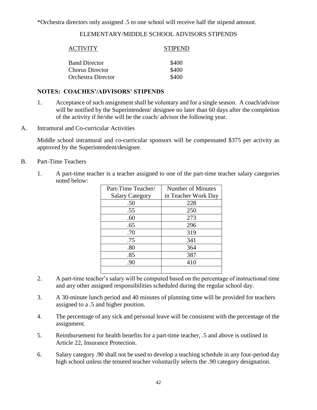\*Orchestra directors only assigned .5 to one school will receive half the stipend amount.

#### ELEMENTARY/MIDDLE SCHOOL ADVISORS STIPENDS

| <b>ACTIVITY</b>        | <b>STIPEND</b> |
|------------------------|----------------|
| <b>Band Director</b>   | \$400          |
| <b>Chorus Director</b> | \$400          |
| Orchestra Director     | \$400          |

#### **NOTES: COACHES'/ADVISORS' STIPENDS**

- 1. Acceptance of such assignment shall be voluntary and for a single season. A coach/advisor will be notified by the Superintendent/ designee no later than 60 days after the completion of the activity if he/she will be the coach/ advisor the following year.
- A. Intramural and Co-curricular Activities

Middle school intramural and co-curricular sponsors will be compensated \$375 per activity as approved by the Superintendent/designee.

- B. Part-Time Teachers
	- 1. A part-time teacher is a teacher assigned to one of the part-time teacher salary categories noted below:

| Part-Time Teacher/     | Number of Minutes   |
|------------------------|---------------------|
| <b>Salary Category</b> | in Teacher Work Day |
| .50                    | 228                 |
| .55                    | 250                 |
| .60                    | 273                 |
| .65                    | 296                 |
| .70                    | 319                 |
| .75                    | 341                 |
| .80                    | 364                 |
| .85                    | 387                 |
| .90                    | 410                 |
|                        |                     |

- 2. A part-time teacher's salary will be computed based on the percentage of instructional time and any other assigned responsibilities scheduled during the regular school day.
- 3. A 30-minute lunch period and 40 minutes of planning time will be provided for teachers assigned to a .5 and higher position.
- 4. The percentage of any sick and personal leave will be consistent with the percentage of the assignment.
- 5. Reimbursement for health benefits for a part-time teacher, .5 and above is outlined in Article 22, Insurance Protection.
- 6. Salary category .90 shall not be used to develop a teaching schedule in any four-period day high school unless the tenured teacher voluntarily selects the .90 category designation.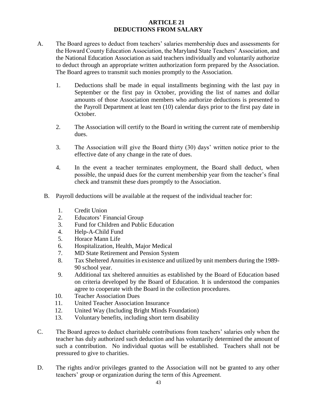#### **ARTICLE 21 DEDUCTIONS FROM SALARY**

- A. The Board agrees to deduct from teachers' salaries membership dues and assessments for the Howard County Education Association, the Maryland State Teachers' Association, and the National Education Association as said teachers individually and voluntarily authorize to deduct through an appropriate written authorization form prepared by the Association. The Board agrees to transmit such monies promptly to the Association.
	- 1. Deductions shall be made in equal installments beginning with the last pay in September or the first pay in October, providing the list of names and dollar amounts of those Association members who authorize deductions is presented to the Payroll Department at least ten (10) calendar days prior to the first pay date in October.
	- 2. The Association will certify to the Board in writing the current rate of membership dues.
	- 3. The Association will give the Board thirty (30) days' written notice prior to the effective date of any change in the rate of dues.
	- 4. In the event a teacher terminates employment, the Board shall deduct, when possible, the unpaid dues for the current membership year from the teacher's final check and transmit these dues promptly to the Association.
	- B. Payroll deductions will be available at the request of the individual teacher for:
		- 1. Credit Union
		- 2. Educators' Financial Group
		- 3. Fund for Children and Public Education
		- 4. Help-A-Child Fund
		- 5. Horace Mann Life
		- 6. Hospitalization, Health, Major Medical
		- 7. MD State Retirement and Pension System
		- 8. Tax Sheltered Annuities in existence and utilized by unit members during the 1989- 90 school year.
		- 9. Additional tax sheltered annuities as established by the Board of Education based on criteria developed by the Board of Education. It is understood the companies agree to cooperate with the Board in the collection procedures.
		- 10. Teacher Association Dues
		- 11. United Teacher Association Insurance
		- 12. United Way (Including Bright Minds Foundation)
		- 13. Voluntary benefits, including short term disability
- C. The Board agrees to deduct charitable contributions from teachers' salaries only when the teacher has duly authorized such deduction and has voluntarily determined the amount of such a contribution. No individual quotas will be established. Teachers shall not be pressured to give to charities.
- D. The rights and/or privileges granted to the Association will not be granted to any other teachers' group or organization during the term of this Agreement.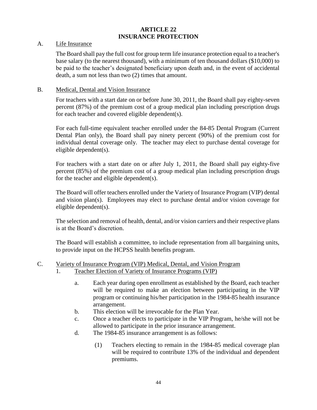#### **ARTICLE 22 INSURANCE PROTECTION**

#### A. Life Insurance

The Board shall pay the full cost for group term life insurance protection equal to a teacher's base salary (to the nearest thousand), with a minimum of ten thousand dollars (\$10,000) to be paid to the teacher's designated beneficiary upon death and, in the event of accidental death, a sum not less than two (2) times that amount.

#### B. Medical, Dental and Vision Insurance

For teachers with a start date on or before June 30, 2011, the Board shall pay eighty-seven percent (87%) of the premium cost of a group medical plan including prescription drugs for each teacher and covered eligible dependent(s).

For each full-time equivalent teacher enrolled under the 84-85 Dental Program (Current Dental Plan only), the Board shall pay ninety percent (90%) of the premium cost for individual dental coverage only. The teacher may elect to purchase dental coverage for eligible dependent(s).

For teachers with a start date on or after July 1, 2011, the Board shall pay eighty-five percent (85%) of the premium cost of a group medical plan including prescription drugs for the teacher and eligible dependent(s).

The Board will offer teachers enrolled under the Variety of Insurance Program (VIP) dental and vision plan(s). Employees may elect to purchase dental and/or vision coverage for eligible dependent(s).

The selection and removal of health, dental, and/or vision carriers and their respective plans is at the Board's discretion.

The Board will establish a committee, to include representation from all bargaining units, to provide input on the HCPSS health benefits program.

- C. Variety of Insurance Program (VIP) Medical, Dental, and Vision Program
	- 1. Teacher Election of Variety of Insurance Programs (VIP)
		- a. Each year during open enrollment as established by the Board, each teacher will be required to make an election between participating in the VIP program or continuing his/her participation in the 1984-85 health insurance arrangement.
		- b. This election will be irrevocable for the Plan Year.
		- c. Once a teacher elects to participate in the VIP Program, he/she will not be allowed to participate in the prior insurance arrangement.
		- d. The 1984-85 insurance arrangement is as follows:
			- (1) Teachers electing to remain in the 1984-85 medical coverage plan will be required to contribute 13% of the individual and dependent premiums.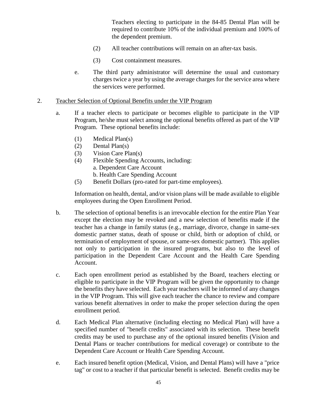Teachers electing to participate in the 84-85 Dental Plan will be required to contribute 10% of the individual premium and 100% of the dependent premium.

- (2) All teacher contributions will remain on an after-tax basis.
- (3) Cost containment measures.
- e. The third party administrator will determine the usual and customary charges twice a year by using the average charges for the service area where the services were performed.
- 2. Teacher Selection of Optional Benefits under the VIP Program
	- a. If a teacher elects to participate or becomes eligible to participate in the VIP Program, he/she must select among the optional benefits offered as part of the VIP Program. These optional benefits include:
		- (1) Medical Plan(s)
		- (2) Dental Plan(s)
		- (3) Vision Care Plan(s)
		- (4) Flexible Spending Accounts, including: a. Dependent Care Account b. Health Care Spending Account
		- (5) Benefit Dollars (pro-rated for part-time employees).

Information on health, dental, and/or vision plans will be made available to eligible employees during the Open Enrollment Period.

- b. The selection of optional benefits is an irrevocable election for the entire Plan Year except the election may be revoked and a new selection of benefits made if the teacher has a change in family status (e.g., marriage, divorce, change in same-sex domestic partner status, death of spouse or child, birth or adoption of child, or termination of employment of spouse, or same-sex domestic partner). This applies not only to participation in the insured programs, but also to the level of participation in the Dependent Care Account and the Health Care Spending Account.
- c. Each open enrollment period as established by the Board, teachers electing or eligible to participate in the VIP Program will be given the opportunity to change the benefits they have selected. Each year teachers will be informed of any changes in the VIP Program. This will give each teacher the chance to review and compare various benefit alternatives in order to make the proper selection during the open enrollment period.
- d. Each Medical Plan alternative (including electing no Medical Plan) will have a specified number of "benefit credits" associated with its selection. These benefit credits may be used to purchase any of the optional insured benefits (Vision and Dental Plans or teacher contributions for medical coverage) or contribute to the Dependent Care Account or Health Care Spending Account.
- e. Each insured benefit option (Medical, Vision, and Dental Plans) will have a "price tag" or cost to a teacher if that particular benefit is selected. Benefit credits may be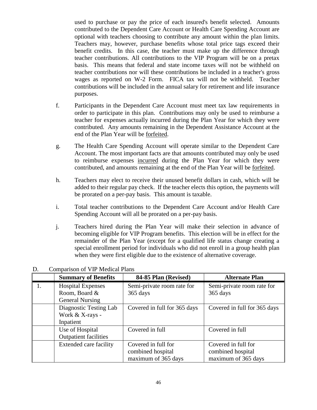used to purchase or pay the price of each insured's benefit selected. Amounts contributed to the Dependent Care Account or Health Care Spending Account are optional with teachers choosing to contribute any amount within the plan limits. Teachers may, however, purchase benefits whose total price tags exceed their benefit credits. In this case, the teacher must make up the difference through teacher contributions. All contributions to the VIP Program will be on a pretax basis. This means that federal and state income taxes will not be withheld on teacher contributions nor will these contributions be included in a teacher's gross wages as reported on W-2 Form. FICA tax will not be withheld. Teacher contributions will be included in the annual salary for retirement and life insurance purposes.

- f. Participants in the Dependent Care Account must meet tax law requirements in order to participate in this plan. Contributions may only be used to reimburse a teacher for expenses actually incurred during the Plan Year for which they were contributed. Any amounts remaining in the Dependent Assistance Account at the end of the Plan Year will be forfeited.
- g. The Health Care Spending Account will operate similar to the Dependent Care Account. The most important facts are that amounts contributed may only be used to reimburse expenses incurred during the Plan Year for which they were contributed, and amounts remaining at the end of the Plan Year will be forfeited.
- h. Teachers may elect to receive their unused benefit dollars in cash, which will be added to their regular pay check. If the teacher elects this option, the payments will be prorated on a per-pay basis. This amount is taxable.
- i. Total teacher contributions to the Dependent Care Account and/or Health Care Spending Account will all be prorated on a per-pay basis.
- j. Teachers hired during the Plan Year will make their selection in advance of becoming eligible for VIP Program benefits. This election will be in effect for the remainder of the Plan Year (except for a qualified life status change creating a special enrollment period for individuals who did not enroll in a group health plan when they were first eligible due to the existence of alternative coverage.

| <b>Summary of Benefits</b>    | 84-85 Plan (Revised)         | <b>Alternate Plan</b>        |  |  |
|-------------------------------|------------------------------|------------------------------|--|--|
| <b>Hospital Expenses</b>      | Semi-private room rate for   | Semi-private room rate for   |  |  |
| Room, Board &                 | 365 days                     | 365 days                     |  |  |
| <b>General Nursing</b>        |                              |                              |  |  |
| Diagnostic Testing Lab        | Covered in full for 365 days | Covered in full for 365 days |  |  |
| Work & X-rays -               |                              |                              |  |  |
| Inpatient                     |                              |                              |  |  |
| Use of Hospital               | Covered in full              | Covered in full              |  |  |
| <b>Outpatient facilities</b>  |                              |                              |  |  |
| <b>Extended care facility</b> | Covered in full for          | Covered in full for          |  |  |
|                               | combined hospital            | combined hospital            |  |  |
|                               | maximum of 365 days          | maximum of 365 days          |  |  |

D. Comparison of VIP Medical Plans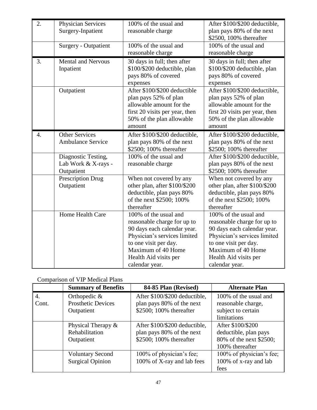| 2. | <b>Physician Services</b><br>Surgery-Inpatient | 100% of the usual and<br>reasonable charge | After \$100/\$200 deductible,<br>plan pays 80% of the next |  |
|----|------------------------------------------------|--------------------------------------------|------------------------------------------------------------|--|
|    |                                                |                                            | \$2500, 100% thereafter                                    |  |
|    | Surgery - Outpatient                           | 100% of the usual and                      | 100% of the usual and                                      |  |
|    |                                                | reasonable charge                          | reasonable charge                                          |  |
| 3. | <b>Mental and Nervous</b>                      | 30 days in full; then after                | 30 days in full; then after                                |  |
|    | Inpatient                                      | \$100/\$200 deductible, plan               | \$100/\$200 deductible, plan                               |  |
|    |                                                | pays 80% of covered                        | pays 80% of covered                                        |  |
|    |                                                | expenses                                   | expenses                                                   |  |
|    | Outpatient                                     | After \$100/\$200 deductible               | After \$100/\$200 deductible,                              |  |
|    |                                                | plan pays 52% of plan                      | plan pays 52% of plan                                      |  |
|    |                                                | allowable amount for the                   | allowable amount for the                                   |  |
|    |                                                | first 20 visits per year, then             | first 20 visits per year, then                             |  |
|    |                                                | 50% of the plan allowable                  | 50% of the plan allowable                                  |  |
|    |                                                | amount                                     | amount                                                     |  |
| 4. | <b>Other Services</b>                          | After \$100/\$200 deductible,              | After \$100/\$200 deductible,                              |  |
|    | <b>Ambulance Service</b>                       | plan pays 80% of the next                  | plan pays 80% of the next                                  |  |
|    |                                                | \$2500; 100% thereafter                    | \$2500; 100% thereafter                                    |  |
|    | Diagnostic Testing,                            | 100% of the usual and                      | After \$100/\$200 deductible,                              |  |
|    | Lab Work & X-rays -                            | reasonable charge                          | plan pays 80% of the next                                  |  |
|    | Outpatient                                     |                                            | \$2500; 100% thereafter                                    |  |
|    | Prescription Drug                              | When not covered by any                    | When not covered by any                                    |  |
|    | Outpatient                                     | other plan, after \$100/\$200              | other plan, after \$100/\$200                              |  |
|    |                                                | deductible, plan pays 80%                  | deductible, plan pays 80%                                  |  |
|    |                                                | of the next \$2500; 100%                   | of the next \$2500; 100%                                   |  |
|    |                                                | thereafter                                 | thereafter                                                 |  |
|    | Home Health Care                               | 100% of the usual and                      | 100% of the usual and                                      |  |
|    |                                                | reasonable charge for up to                | reasonable charge for up to                                |  |
|    |                                                | 90 days each calendar year.                | 90 days each calendar year.                                |  |
|    |                                                | Physician's services limited               | Physician's services limited                               |  |
|    |                                                | to one visit per day.                      | to one visit per day.                                      |  |
|    |                                                | Maximum of 40 Home                         | Maximum of 40 Home                                         |  |
|    |                                                | Health Aid visits per                      | Health Aid visits per                                      |  |
|    |                                                | calendar year.                             | calendar year.                                             |  |

## Comparison of VIP Medical Plans

|       | <b>Summary of Benefits</b> | 84-85 Plan (Revised)          | <b>Alternate Plan</b>    |
|-------|----------------------------|-------------------------------|--------------------------|
| 4.    | Orthopedic $\&$            | After \$100/\$200 deductible, | 100% of the usual and    |
| Cont. | <b>Prosthetic Devices</b>  | plan pays 80% of the next     | reasonable charge,       |
|       | Outpatient                 | \$2500; 100% thereafter       | subject to certain       |
|       |                            |                               | limitations              |
|       | Physical Therapy $\&$      | After \$100/\$200 deductible, | After \$100/\$200        |
|       | Rehabilitation             | plan pays 80% of the next     | deductible, plan pays    |
|       | Outpatient                 | \$2500; 100% thereafter       | 80% of the next \$2500;  |
|       |                            |                               | 100% thereafter          |
|       | <b>Voluntary Second</b>    | 100% of physician's fee;      | 100% of physician's fee; |
|       | <b>Surgical Opinion</b>    | 100% of X-ray and lab fees    | 100% of x-ray and lab    |
|       |                            |                               | fees                     |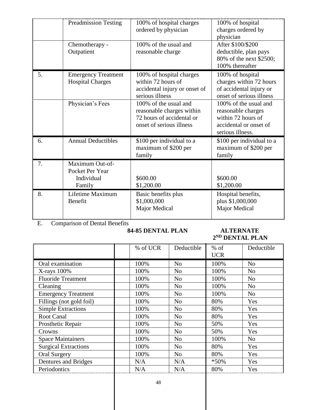|    | <b>Preadmission Testing</b>                                | 100% of hospital charges<br>ordered by physician                                                            | 100% of hospital<br>charges ordered by<br>physician                                                             |
|----|------------------------------------------------------------|-------------------------------------------------------------------------------------------------------------|-----------------------------------------------------------------------------------------------------------------|
|    | Chemotherapy -<br>Outpatient                               | 100% of the usual and<br>reasonable charge                                                                  | After \$100/\$200<br>deductible, plan pays<br>80% of the next \$2500;<br>100% thereafter                        |
| 5. | <b>Emergency Treatment</b><br><b>Hospital Charges</b>      | 100% of hospital charges<br>within 72 hours of<br>accidental injury or onset of<br>serious illness          | 100% of hospital<br>charges within 72 hours<br>of accidental injury or<br>onset of serious illness              |
|    | Physician's Fees                                           | 100% of the usual and<br>reasonable charges within<br>72 hours of accidental or<br>onset of serious illness | 100% of the usual and<br>reasonable charges<br>within 72 hours of<br>accidental or onset of<br>serious illness. |
| 6. | <b>Annual Deductibles</b>                                  | \$100 per individual to a<br>maximum of \$200 per<br>family                                                 | \$100 per individual to a<br>maximum of \$200 per<br>family                                                     |
| 7. | Maximum Out-of-<br>Pocket Per Year<br>Individual<br>Family | \$600.00<br>\$1,200.00                                                                                      | \$600.00<br>\$1,200.00                                                                                          |
| 8. | Lifetime Maximum<br>Benefit                                | Basic benefits plus<br>\$1,000,000<br>Major Medical                                                         | Hospital benefits,<br>plus \$1,000,000<br>Major Medical                                                         |

E. Comparison of Dental Benefits

#### **84-85 DENTAL PLAN ALTERNATE**

# **2 ND DENTAL PLAN**

|                             | % of UCR | Deductible     | $%$ of     | Deductible     |
|-----------------------------|----------|----------------|------------|----------------|
|                             |          |                | <b>UCR</b> |                |
| Oral examination            | 100%     | N <sub>o</sub> | 100%       | N <sub>o</sub> |
| X-rays 100%                 | 100%     | N <sub>o</sub> | 100%       | N <sub>o</sub> |
| <b>Fluoride Treatment</b>   | 100%     | N <sub>o</sub> | 100%       | N <sub>o</sub> |
| Cleaning                    | 100%     | N <sub>o</sub> | 100%       | N <sub>o</sub> |
| <b>Emergency Treatment</b>  | 100%     | N <sub>o</sub> | 100%       | N <sub>o</sub> |
| Fillings (not gold foil)    | 100%     | N <sub>o</sub> | 80%        | Yes            |
| <b>Simple Extractions</b>   | 100%     | N <sub>o</sub> | 80%        | Yes            |
| <b>Root Canal</b>           | 100%     | N <sub>o</sub> | 80%        | Yes            |
| Prosthetic Repair           | 100%     | N <sub>o</sub> | 50%        | Yes            |
| Crowns                      | 100%     | N <sub>o</sub> | 50%        | Yes            |
| <b>Space Maintainers</b>    | 100%     | N <sub>o</sub> | 100%       | N <sub>o</sub> |
| <b>Surgical Extractions</b> | 100%     | N <sub>o</sub> | 80%        | Yes            |
| <b>Oral Surgery</b>         | 100%     | N <sub>o</sub> | 80%        | Yes            |
| Dentures and Bridges        | N/A      | N/A            | $*50\%$    | Yes            |
| Periodontics                | N/A      | N/A            | 80%        | Yes            |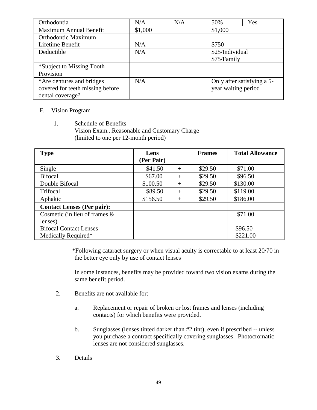| Orthodontia                      | N/A     | N/A | 50%                        | Yes |
|----------------------------------|---------|-----|----------------------------|-----|
| Maximum Annual Benefit           | \$1,000 |     | \$1,000                    |     |
| Orthodontic Maximum              |         |     |                            |     |
| Lifetime Benefit                 | N/A     |     | \$750                      |     |
| Deductible                       | N/A     |     | \$25/Individual            |     |
|                                  |         |     | \$75/Family                |     |
| *Subject to Missing Tooth        |         |     |                            |     |
| Provision                        |         |     |                            |     |
| *Are dentures and bridges        | N/A     |     | Only after satisfying a 5- |     |
| covered for teeth missing before |         |     | year waiting period        |     |
| dental coverage?                 |         |     |                            |     |

#### F. Vision Program

1. Schedule of Benefits Vision Exam...Reasonable and Customary Charge (limited to one per 12-month period)

| <b>Type</b>                       | Lens       |        | <b>Frames</b> | <b>Total Allowance</b> |
|-----------------------------------|------------|--------|---------------|------------------------|
|                                   | (Per Pair) |        |               |                        |
| Single                            | \$41.50    | $^{+}$ | \$29.50       | \$71.00                |
| <b>Bifocal</b>                    | \$67.00    | $^{+}$ | \$29.50       | \$96.50                |
| Double Bifocal                    | \$100.50   | $^{+}$ | \$29.50       | \$130.00               |
| Trifocal                          | \$89.50    | $^{+}$ | \$29.50       | \$119.00               |
| Aphakic                           | \$156.50   | $^{+}$ | \$29.50       | \$186.00               |
| <b>Contact Lenses (Per pair):</b> |            |        |               |                        |
| Cosmetic (in lieu of frames $\&$  |            |        |               | \$71.00                |
| lenses)                           |            |        |               |                        |
| <b>Bifocal Contact Lenses</b>     |            |        |               | \$96.50                |
| Medically Required*               |            |        |               | \$221.00               |

\*Following cataract surgery or when visual acuity is correctable to at least 20/70 in the better eye only by use of contact lenses

In some instances, benefits may be provided toward two vision exams during the same benefit period.

- 2. Benefits are not available for:
	- a. Replacement or repair of broken or lost frames and lenses (including contacts) for which benefits were provided.
	- b. Sunglasses (lenses tinted darker than #2 tint), even if prescribed -- unless you purchase a contract specifically covering sunglasses. Photocromatic lenses are not considered sunglasses.
- 3. Details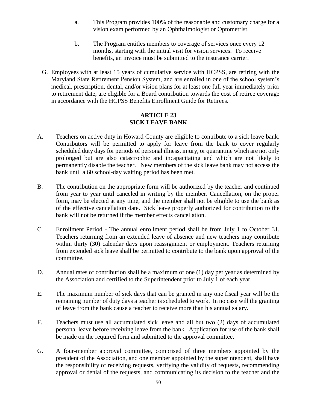- a. This Program provides 100% of the reasonable and customary charge for a vision exam performed by an Ophthalmologist or Optometrist.
- b. The Program entitles members to coverage of services once every 12 months, starting with the initial visit for vision services. To receive benefits, an invoice must be submitted to the insurance carrier.
- G. Employees with at least 15 years of cumulative service with HCPSS, are retiring with the Maryland State Retirement Pension System, and are enrolled in one of the school system's medical, prescription, dental, and/or vision plans for at least one full year immediately prior to retirement date, are eligible for a Board contribution towards the cost of retiree coverage in accordance with the HCPSS Benefits Enrollment Guide for Retirees.

#### **ARTICLE 23 SICK LEAVE BANK**

- A. Teachers on active duty in Howard County are eligible to contribute to a sick leave bank. Contributors will be permitted to apply for leave from the bank to cover regularly scheduled duty days for periods of personal illness, injury, or quarantine which are not only prolonged but are also catastrophic and incapacitating and which are not likely to permanently disable the teacher. New members of the sick leave bank may not access the bank until a 60 school-day waiting period has been met.
- B. The contribution on the appropriate form will be authorized by the teacher and continued from year to year until canceled in writing by the member. Cancellation, on the proper form, may be elected at any time, and the member shall not be eligible to use the bank as of the effective cancellation date. Sick leave properly authorized for contribution to the bank will not be returned if the member effects cancellation.
- C. Enrollment Period The annual enrollment period shall be from July 1 to October 31. Teachers returning from an extended leave of absence and new teachers may contribute within thirty (30) calendar days upon reassignment or employment. Teachers returning from extended sick leave shall be permitted to contribute to the bank upon approval of the committee.
- D. Annual rates of contribution shall be a maximum of one (1) day per year as determined by the Association and certified to the Superintendent prior to July 1 of each year.
- E. The maximum number of sick days that can be granted in any one fiscal year will be the remaining number of duty days a teacher is scheduled to work. In no case will the granting of leave from the bank cause a teacher to receive more than his annual salary.
- F. Teachers must use all accumulated sick leave and all but two (2) days of accumulated personal leave before receiving leave from the bank. Application for use of the bank shall be made on the required form and submitted to the approval committee.
- G. A four-member approval committee, comprised of three members appointed by the president of the Association, and one member appointed by the superintendent, shall have the responsibility of receiving requests, verifying the validity of requests, recommending approval or denial of the requests, and communicating its decision to the teacher and the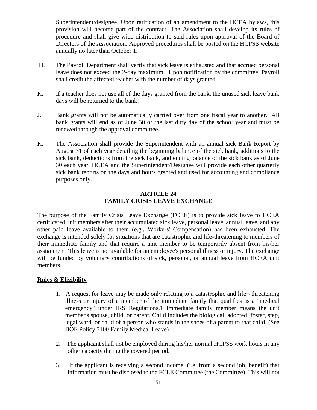Superintendent/designee. Upon ratification of an amendment to the HCEA bylaws, this provision will become part of the contract. The Association shall develop its rules of procedure and shall give wide distribution to said rules upon approval of the Board of Directors of the Association. Approved procedures shall be posted on the HCPSS website annually no later than October 1.

- H. The Payroll Department shall verify that sick leave is exhausted and that accrued personal leave does not exceed the 2-day maximum. Upon notification by the committee, Payroll shall credit the affected teacher with the number of days granted.
- K. If a teacher does not use all of the days granted from the bank, the unused sick leave bank days will be returned to the bank.
- J. Bank grants will not be automatically carried over from one fiscal year to another. All bank grants will end as of June 30 or the last duty day of the school year and must be renewed through the approval committee.
- K. The Association shall provide the Superintendent with an annual sick Bank Report by August 31 of each year detailing the beginning balance of the sick bank, additions to the sick bank, deductions from the sick bank, and ending balance of the sick bank as of June 30 each year. HCEA and the Superintendent/Designee will provide each other quarterly sick bank reports on the days and hours granted and used for accounting and compliance purposes only.

#### **ARTICLE 24 FAMILY CRISIS LEAVE EXCHANGE**

The purpose of the Family Crisis Leave Exchange (FCLE) is to provide sick leave to HCEA certificated unit members after their accumulated sick leave, personal leave, annual leave, and any other paid leave available to them (e.g., Workers' Compensation) has been exhausted. The exchange is intended solely for situations that are catastrophic and life-threatening to members of their immediate family and that require a unit member to be temporarily absent from his/her assignment. This leave is not available for an employee's personal illness or injury. The exchange will be funded by voluntary contributions of sick, personal, or annual leave from HCEA unit members.

#### **Rules & Eligibility**

- 1. A request for leave may be made only relating to a catastrophic and life-threatening illness or injury of a member of the immediate family that qualifies as a "medical emergency" under IRS Regulations.1 Immediate family member means the unit member's spouse, child, or parent. Child includes the biological, adopted, foster, step, legal ward, or child of a person who stands in the shoes of a parent to that child. (See BOE Policy 7100 Family Medical Leave)
- 2. The applicant shall not be employed during his/her normal HCPSS work hours in any other capacity during the covered period.
- 3. If the applicant is receiving a second income, (i.e. from a second job, benefit) that information must be disclosed to the FCLE Committee (the Committee). This will not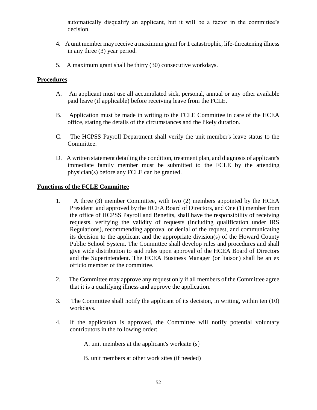automatically disqualify an applicant, but it will be a factor in the committee's decision.

- 4. A unit member may receive a maximum grant for 1 catastrophic, life-threatening illness in any three (3) year period.
- 5. A maximum grant shall be thirty (30) consecutive workdays.

#### **Procedures**

- A. An applicant must use all accumulated sick, personal, annual or any other available paid leave (if applicable) before receiving leave from the FCLE.
- B. Application must be made in writing to the FCLE Committee in care of the HCEA office, stating the details of the circumstances and the likely duration.
- C. The HCPSS Payroll Department shall verify the unit member's leave status to the Committee.
- D. A written statement detailing the condition, treatment plan, and diagnosis of applicant's immediate family member must be submitted to the FCLE by the attending physician(s) before any FCLE can be granted.

#### **Functions of the FCLE Committee**

- 1. A three (3) member Committee, with two (2) members appointed by the HCEA President and approved by the HCEA Board of Directors, and One (1) member from the office of HCPSS Payroll and Benefits, shall have the responsibility of receiving requests, verifying the validity of requests (including qualification under IRS Regulations), recommending approval or denial of the request, and communicating its decision to the applicant and the appropriate division(s) of the Howard County Public School System. The Committee shall develop rules and procedures and shall give wide distribution to said rules upon approval of the HCEA Board of Directors and the Superintendent. The HCEA Business Manager (or liaison) shall be an ex officio member of the committee.
- 2. The Committee may approve any request only if all members of the Committee agree that it is a qualifying illness and approve the application.
- 3. The Committee shall notify the applicant of its decision, in writing, within ten (10) workdays.
- 4. If the application is approved, the Committee will notify potential voluntary contributors in the following order:

A. unit members at the applicant's worksite (s}

B. unit members at other work sites (if needed)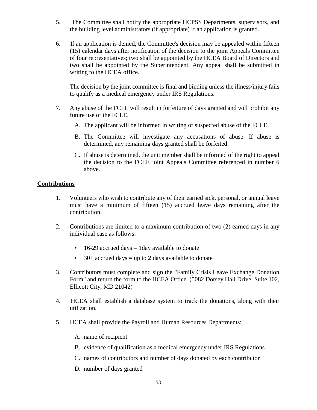- 5. The Committee shall notify the appropriate HCPSS Departments, supervisors, and the building level administrators (if appropriate) if an application is granted.
- 6. If an application is denied, the Committee's decision may be appealed within fifteen (15) calendar days after notification of the decision to the joint Appeals Committee of four representatives; two shall be appointed by the HCEA Board of Directors and two shall be appointed by the Superintendent. Any appeal shall be submitted in writing to the HCEA office.

The decision by the joint committee is final and binding unless the illness/injury fails to qualify as a medical emergency under IRS Regulations.

- 7. Any abuse of the FCLE will result in forfeiture of days granted and will prohibit any future use of the FCLE.
	- A. The applicant will be informed in writing of suspected abuse of the FCLE.
	- B. The Committee will investigate any accusations of abuse. If abuse is determined, any remaining days granted shall be forfeited.
	- C. If abuse is determined, the unit member shall be informed of the right to appeal the decision to the FCLE joint Appeals Committee referenced in number 6 above.

#### **Contributions**

- 1. Volunteers who wish to contribute any of their earned sick, personal, or annual leave must have a minimum of fifteen (15) accrued leave days remaining after the contribution.
- 2. Contributions are limited to a maximum contribution of two (2) earned days in any individual case as follows:
	- $16-29$  accrued days = 1day available to donate
	- 30+ accrued days = up to 2 days available to donate
- 3. Contributors must complete and sign the "Family Crisis Leave Exchange Donation Form" and return the form to the HCEA Office. (5082 Dorsey Hall Drive, Suite 102, Ellicott City, MD 21042)
- 4. HCEA shall establish a database system to track the donations, along with their utilization.
- 5. HCEA shall provide the Payroll and Human Resources Departments:
	- A. name of recipient
	- B. evidence of qualification as a medical emergency under IRS Regulations
	- C. names of contributors and number of days donated by each contributor
	- D. number of days granted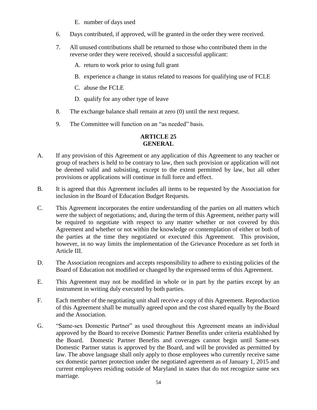- E. number of days used
- 6. Days contributed, if approved, will be granted in the order they were received.
- 7. All unused contributions shall be returned to those who contributed them in the reverse order they were received, should a successful applicant:
	- A. return to work prior to using full grant
	- B. experience a change in status related to reasons for qualifying use of FCLE
	- C. abuse the FCLE
	- D. qualify for any other type of leave
- 8. The exchange balance shall remain at zero (0) until the next request.
- 9. The Committee will function on an "as needed" basis.

### **ARTICLE 25 GENERAL**

- A. If any provision of this Agreement or any application of this Agreement to any teacher or group of teachers is held to be contrary to law, then such provision or application will not be deemed valid and subsisting, except to the extent permitted by law, but all other provisions or applications will continue in full force and effect.
- B. It is agreed that this Agreement includes all items to be requested by the Association for inclusion in the Board of Education Budget Requests.
- C. This Agreement incorporates the entire understanding of the parties on all matters which were the subject of negotiations; and, during the term of this Agreement, neither party will be required to negotiate with respect to any matter whether or not covered by this Agreement and whether or not within the knowledge or contemplation of either or both of the parties at the time they negotiated or executed this Agreement. This provision, however, in no way limits the implementation of the Grievance Procedure as set forth in Article III.
- D. The Association recognizes and accepts responsibility to adhere to existing policies of the Board of Education not modified or changed by the expressed terms of this Agreement.
- E. This Agreement may not be modified in whole or in part by the parties except by an instrument in writing duly executed by both parties.
- F. Each member of the negotiating unit shall receive a copy of this Agreement. Reproduction of this Agreement shall be mutually agreed upon and the cost shared equally by the Board and the Association.
- G. "Same-sex Domestic Partner" as used throughout this Agreement means an individual approved by the Board to receive Domestic Partner Benefits under criteria established by the Board. Domestic Partner Benefits and coverages cannot begin until Same-sex Domestic Partner status is approved by the Board, and will be provided as permitted by law. The above language shall only apply to those employees who currently receive same sex domestic partner protection under the negotiated agreement as of January 1, 2015 and current employees residing outside of Maryland in states that do not recognize same sex marriage.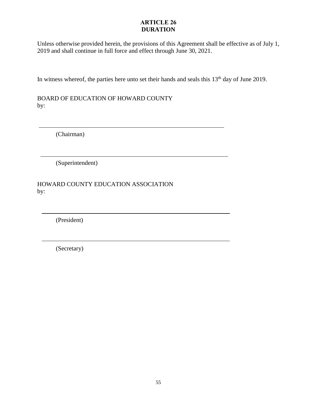### **ARTICLE 26 DURATION**

Unless otherwise provided herein, the provisions of this Agreement shall be effective as of July 1, 2019 and shall continue in full force and effect through June 30, 2021.

In witness whereof, the parties here unto set their hands and seals this  $13<sup>th</sup>$  day of June 2019.

BOARD OF EDUCATION OF HOWARD COUNTY by:

(Chairman)

(Superintendent)

HOWARD COUNTY EDUCATION ASSOCIATION by:

(President)

(Secretary)